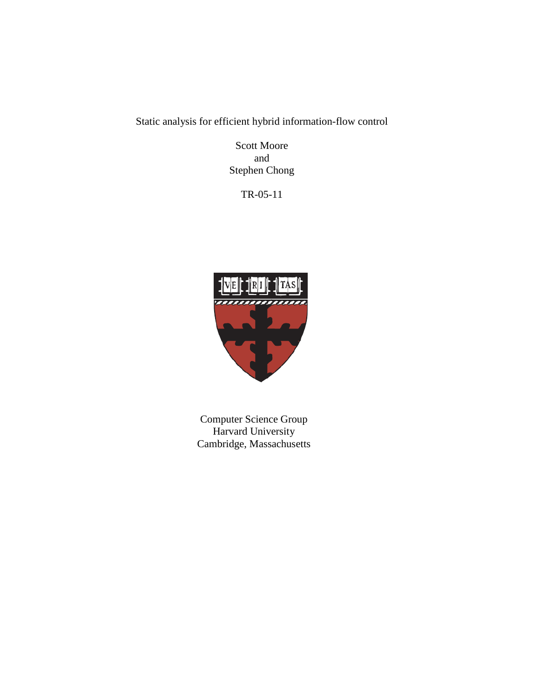Static analysis for efficient hybrid information-flow control

Scott Moore and Stephen Chong

TR-05-11



Computer Science Group Harvard University Cambridge, Massachusetts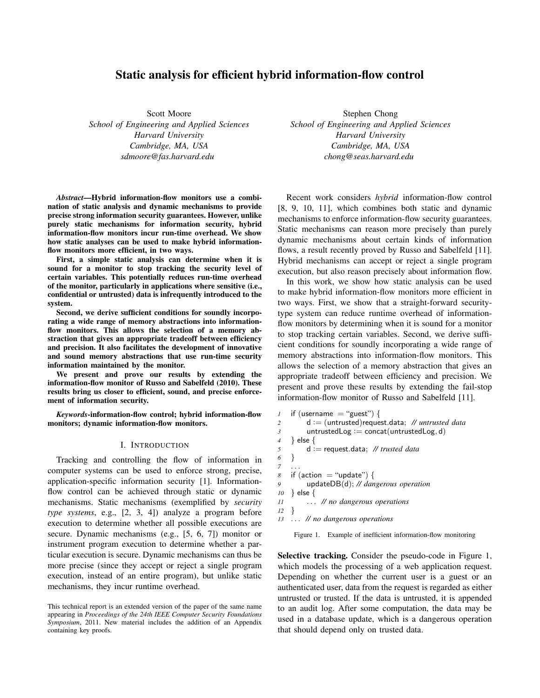# Static analysis for efficient hybrid information-flow control

Scott Moore *School of Engineering and Applied Sciences Harvard University Cambridge, MA, USA sdmoore@fas.harvard.edu*

*Abstract*—Hybrid information-flow monitors use a combination of static analysis and dynamic mechanisms to provide precise strong information security guarantees. However, unlike purely static mechanisms for information security, hybrid information-flow monitors incur run-time overhead. We show how static analyses can be used to make hybrid informationflow monitors more efficient, in two ways.

First, a simple static analysis can determine when it is sound for a monitor to stop tracking the security level of certain variables. This potentially reduces run-time overhead of the monitor, particularly in applications where sensitive (i.e., confidential or untrusted) data is infrequently introduced to the system.

Second, we derive sufficient conditions for soundly incorporating a wide range of memory abstractions into informationflow monitors. This allows the selection of a memory abstraction that gives an appropriate tradeoff between efficiency and precision. It also facilitates the development of innovative and sound memory abstractions that use run-time security information maintained by the monitor.

We present and prove our results by extending the information-flow monitor of Russo and Sabelfeld (2010). These results bring us closer to efficient, sound, and precise enforcement of information security.

*Keywords*-information-flow control; hybrid information-flow monitors; dynamic information-flow monitors.

## I. INTRODUCTION

Tracking and controlling the flow of information in computer systems can be used to enforce strong, precise, application-specific information security [1]. Informationflow control can be achieved through static or dynamic mechanisms. Static mechanisms (exemplified by *security type systems*, e.g., [2, 3, 4]) analyze a program before execution to determine whether all possible executions are secure. Dynamic mechanisms (e.g., [5, 6, 7]) monitor or instrument program execution to determine whether a particular execution is secure. Dynamic mechanisms can thus be more precise (since they accept or reject a single program execution, instead of an entire program), but unlike static mechanisms, they incur runtime overhead.

Stephen Chong *School of Engineering and Applied Sciences Harvard University Cambridge, MA, USA chong@seas.harvard.edu*

Recent work considers *hybrid* information-flow control [8, 9, 10, 11], which combines both static and dynamic mechanisms to enforce information-flow security guarantees. Static mechanisms can reason more precisely than purely dynamic mechanisms about certain kinds of information flows, a result recently proved by Russo and Sabelfeld [11]. Hybrid mechanisms can accept or reject a single program execution, but also reason precisely about information flow.

In this work, we show how static analysis can be used to make hybrid information-flow monitors more efficient in two ways. First, we show that a straight-forward securitytype system can reduce runtime overhead of informationflow monitors by determining when it is sound for a monitor to stop tracking certain variables. Second, we derive sufficient conditions for soundly incorporating a wide range of memory abstractions into information-flow monitors. This allows the selection of a memory abstraction that gives an appropriate tradeoff between efficiency and precision. We present and prove these results by extending the fail-stop information-flow monitor of Russo and Sabelfeld [11].

```
1 if (username = "guest") {
2 d := (untrusted)request.data; // untrusted data
3 untrustedLog := concat(untrustedLog, d)
4 } else {
5 d := request.data; // trusted data
6 }
7 . . .
8 if (action = "update") {
9 updateDB(d); // dangerous operation
10 } else {
11 . . . // no dangerous operations
12 }
13 . . . // no dangerous operations
```
Figure 1. Example of inefficient information-flow monitoring

Selective tracking. Consider the pseudo-code in Figure 1, which models the processing of a web application request. Depending on whether the current user is a guest or an authenticated user, data from the request is regarded as either untrusted or trusted. If the data is untrusted, it is appended to an audit log. After some computation, the data may be used in a database update, which is a dangerous operation that should depend only on trusted data.

This technical report is an extended version of the paper of the same name appearing in *Proceedings of the 24th IEEE Computer Security Foundations Symposium*, 2011. New material includes the addition of an Appendix containing key proofs.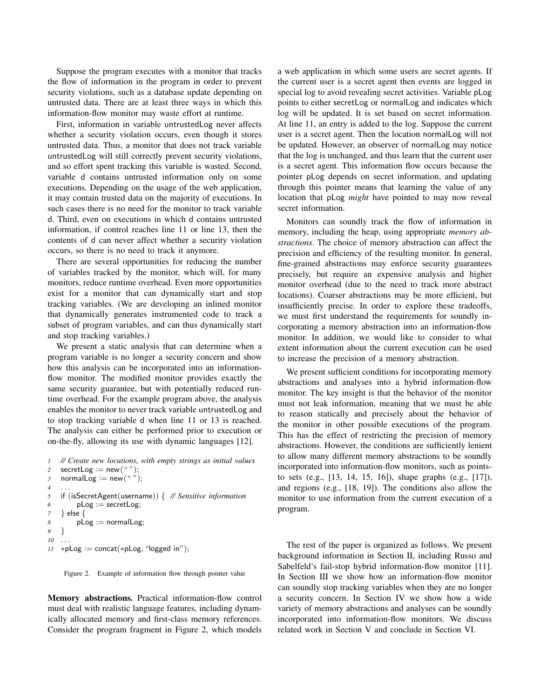Suppose the program executes with a monitor that tracks the flow of information in the program in order to prevent security violations, such as a database update depending on untrusted data. There are at least three ways in which this information-flow monitor may waste effort at runtime.

First, information in variable untrustedLog never affects whether a security violation occurs, even though it stores untrusted data. Thus, a monitor that does not track variable untrustedLog will still correctly prevent security violations, and so effort spent tracking this variable is wasted. Second, variable d contains untrusted information only on some executions. Depending on the usage of the web application, it may contain trusted data on the majority of executions. In such cases there is no need for the monitor to track variable d. Third, even on executions in which d contains untrusted information, if control reaches line 11 or line 13, then the contents of d can never affect whether a security violation occurs, so there is no need to track it anymore.

There are several opportunities for reducing the number of variables tracked by the monitor, which will, for many monitors, reduce runtime overhead. Even more opportunities exist for a monitor that can dynamically start and stop tracking variables. (We are developing an inlined monitor that dynamically generates instrumented code to track a subset of program variables, and can thus dynamically start and stop tracking variables.)

We present a static analysis that can determine when a program variable is no longer a security concern and show how this analysis can be incorporated into an informationflow monitor. The modified monitor provides exactly the same security guarantee, but with potentially reduced runtime overhead. For the example program above, the analysis enables the monitor to never track variable untrustedLog and to stop tracking variable d when line 11 or 13 is reached. The analysis can either be performed prior to execution or on-the-fly, allowing its use with dynamic languages [12].

```
1 // Create new locations, with empty strings as initial values
2 secretLog := new ("");
3 normalLog := new \overset{\sim}{(^{u}w)};
4 . . .
5 if (isSecretAgent(username)) { // Sensitive information
6 pLog := secretLog;
7 } else {
8 pLog := normalLog;
9 }
10 . . .
11 ∗pLog := concat(*pLog, "logged in");
```
Figure 2. Example of information flow through pointer value

Memory abstractions. Practical information-flow control must deal with realistic language features, including dynamically allocated memory and first-class memory references. Consider the program fragment in Figure 2, which models a web application in which some users are secret agents. If the current user is a secret agent then events are logged in special log to avoid revealing secret activities. Variable pLog points to either secretLog or normalLog and indicates which log will be updated. It is set based on secret information. At line 11, an entry is added to the log. Suppose the current user is a secret agent. Then the location normalLog will not be updated. However, an observer of normalLog may notice that the log is unchanged, and thus learn that the current user is a secret agent. This information flow occurs because the pointer pLog depends on secret information, and updating through this pointer means that learning the value of any location that pLog *might* have pointed to may now reveal secret information.

Monitors can soundly track the flow of information in memory, including the heap, using appropriate *memory abstractions*. The choice of memory abstraction can affect the precision and efficiency of the resulting monitor. In general, fine-grained abstractions may enforce security guarantees precisely, but require an expensive analysis and higher monitor overhead (due to the need to track more abstract locations). Coarser abstractions may be more efficient, but insufficiently precise. In order to explore these tradeoffs, we must first understand the requirements for soundly incorporating a memory abstraction into an information-flow monitor. In addition, we would like to consider to what extent information about the current execution can be used to increase the precision of a memory abstraction.

We present sufficient conditions for incorporating memory abstractions and analyses into a hybrid information-flow monitor. The key insight is that the behavior of the monitor must not leak information, meaning that we must be able to reason statically and precisely about the behavior of the monitor in other possible executions of the program. This has the effect of restricting the precision of memory abstractions. However, the conditions are sufficiently lenient to allow many different memory abstractions to be soundly incorporated into information-flow monitors, such as pointsto sets (e.g., [13, 14, 15, 16]), shape graphs (e.g., [17]), and regions (e.g., [18, 19]). The conditions also allow the monitor to use information from the current execution of a program.

The rest of the paper is organized as follows. We present background information in Section II, including Russo and Sabelfeld's fail-stop hybrid information-flow monitor [11]. In Section III we show how an information-flow monitor can soundly stop tracking variables when they are no longer a security concern. In Section IV we show how a wide variety of memory abstractions and analyses can be soundly incorporated into information-flow monitors. We discuss related work in Section V and conclude in Section VI.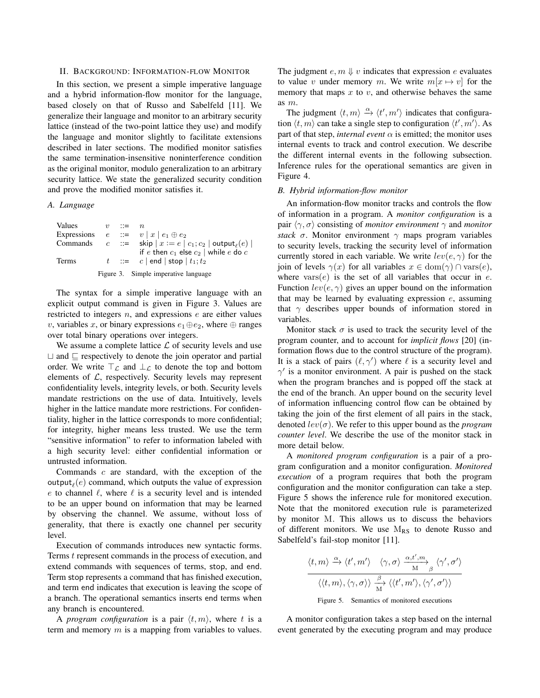### II. BACKGROUND: INFORMATION-FLOW MONITOR

In this section, we present a simple imperative language and a hybrid information-flow monitor for the language, based closely on that of Russo and Sabelfeld [11]. We generalize their language and monitor to an arbitrary security lattice (instead of the two-point lattice they use) and modify the language and monitor slightly to facilitate extensions described in later sections. The modified monitor satisfies the same termination-insensitive noninterference condition as the original monitor, modulo generalization to an arbitrary security lattice. We state the generalized security condition and prove the modified monitor satisfies it.

## *A. Language*

| Values | $v := n$ |                                                                                |
|--------|----------|--------------------------------------------------------------------------------|
|        |          | Expressions $e ::= v   x   e_1 \oplus e_2$                                     |
|        |          | Commands $c ::=$ skip $x := e \mid c_1; c_2 \mid \text{output}_{\ell}(e) \mid$ |
|        |          | if e then $c_1$ else $c_2$ while e do c                                        |
| Terms  |          | $t$ ::= $c$   end   stop   $t_1$ ; $t_2$                                       |
|        |          | Figure 3. Simple imperative language                                           |

The syntax for a simple imperative language with an explicit output command is given in Figure 3. Values are restricted to integers  $n$ , and expressions  $e$  are either values v, variables x, or binary expressions  $e_1 \oplus e_2$ , where  $\oplus$  ranges over total binary operations over integers.

We assume a complete lattice  $\mathcal L$  of security levels and use  $\Box$  and  $\Box$  respectively to denote the join operator and partial order. We write  $\top_{\mathcal{L}}$  and  $\bot_{\mathcal{L}}$  to denote the top and bottom elements of  $L$ , respectively. Security levels may represent confidentiality levels, integrity levels, or both. Security levels mandate restrictions on the use of data. Intuitively, levels higher in the lattice mandate more restrictions. For confidentiality, higher in the lattice corresponds to more confidential; for integrity, higher means less trusted. We use the term "sensitive information" to refer to information labeled with a high security level: either confidential information or untrusted information.

Commands c are standard, with the exception of the output $_{\ell}(e)$  command, which outputs the value of expression e to channel  $\ell$ , where  $\ell$  is a security level and is intended to be an upper bound on information that may be learned by observing the channel. We assume, without loss of generality, that there is exactly one channel per security level.

Execution of commands introduces new syntactic forms. Terms t represent commands in the process of execution, and extend commands with sequences of terms, stop, and end. Term stop represents a command that has finished execution, and term end indicates that execution is leaving the scope of a branch. The operational semantics inserts end terms when any branch is encountered.

A *program configuration* is a pair  $\langle t, m \rangle$ , where t is a term and memory  $m$  is a mapping from variables to values. The judgment  $e, m \Downarrow v$  indicates that expression e evaluates to value v under memory m. We write  $m[x \mapsto v]$  for the memory that maps  $x$  to  $v$ , and otherwise behaves the same as m.

The judgment  $\langle t, m \rangle \stackrel{\alpha}{\rightarrow} \langle t', m' \rangle$  indicates that configuration  $\langle t, m \rangle$  can take a single step to configuration  $\langle t', m' \rangle$ . As part of that step, *internal event*  $\alpha$  is emitted; the monitor uses internal events to track and control execution. We describe the different internal events in the following subsection. Inference rules for the operational semantics are given in Figure 4.

## *B. Hybrid information-flow monitor*

An information-flow monitor tracks and controls the flow of information in a program. A *monitor configuration* is a pair  $\langle \gamma, \sigma \rangle$  consisting of *monitor environment*  $\gamma$  and *monitor stack*  $\sigma$ . Monitor environment  $\gamma$  maps program variables to security levels, tracking the security level of information currently stored in each variable. We write  $lev(e, \gamma)$  for the join of levels  $\gamma(x)$  for all variables  $x \in \text{dom}(\gamma) \cap \text{vars}(e)$ , where  $\text{vars}(e)$  is the set of all variables that occur in e. Function  $lev(e, \gamma)$  gives an upper bound on the information that may be learned by evaluating expression  $e$ , assuming that  $\gamma$  describes upper bounds of information stored in variables.

Monitor stack  $\sigma$  is used to track the security level of the program counter, and to account for *implicit flows* [20] (information flows due to the control structure of the program). It is a stack of pairs  $(\ell, \gamma')$  where  $\ell$  is a security level and  $\gamma'$  is a monitor environment. A pair is pushed on the stack when the program branches and is popped off the stack at the end of the branch. An upper bound on the security level of information influencing control flow can be obtained by taking the join of the first element of all pairs in the stack, denoted  $lev(\sigma)$ . We refer to this upper bound as the *program counter level*. We describe the use of the monitor stack in more detail below.

A *monitored program configuration* is a pair of a program configuration and a monitor configuration. *Monitored execution* of a program requires that both the program configuration and the monitor configuration can take a step. Figure 5 shows the inference rule for monitored execution. Note that the monitored execution rule is parameterized by monitor M. This allows us to discuss the behaviors of different monitors. We use  $M_{RS}$  to denote Russo and Sabelfeld's fail-stop monitor [11].

$$
\frac{\langle t,m \rangle \xrightarrow{\alpha} \langle t',m' \rangle \quad \langle \gamma,\sigma \rangle \xrightarrow{\alpha,t',m} \langle \gamma',\sigma' \rangle}{\langle \langle t,m \rangle, \langle \gamma,\sigma \rangle \rangle \xrightarrow{\beta} \langle \langle t',m' \rangle, \langle \gamma',\sigma' \rangle \rangle}
$$

Figure 5. Semantics of monitored executions

A monitor configuration takes a step based on the internal event generated by the executing program and may produce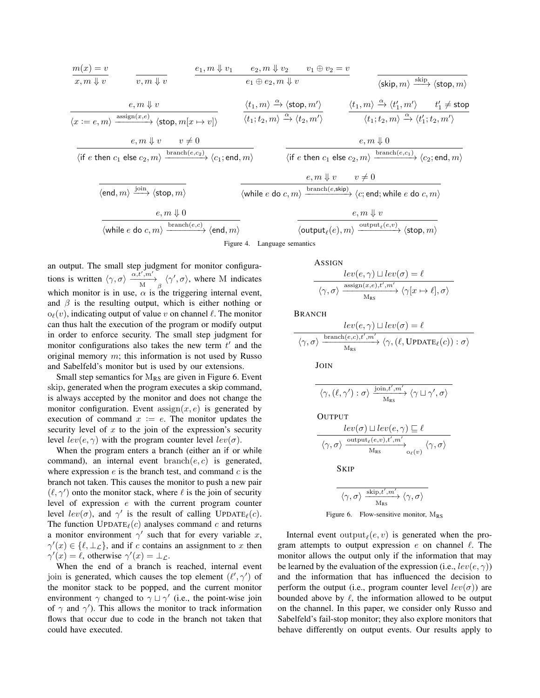m(x) = v x, m ⇓ v v, m ⇓ v e1, m ⇓ v<sup>1</sup> e2, m ⇓ v<sup>2</sup> v<sup>1</sup> ⊕ v<sup>2</sup> = v e<sup>1</sup> ⊕ e2, m ⇓ v hskip, mi skip −−→ hstop, mi e, m ⇓ v hx := e, mi assign(x,e) −−−−−−−→ hstop, m[x 7→ v]i ht1, mi <sup>α</sup>−→ hstop, m<sup>0</sup> i ht1;t2, mi <sup>α</sup>−→ ht2, m<sup>0</sup> i ht1, mi <sup>α</sup>−→ ht 0 1 , m<sup>0</sup> i t 0 <sup>1</sup> 6= stop ht1;t2, mi <sup>α</sup>−→ ht 0 1 ;t2, m<sup>0</sup> i e, m ⇓ v v 6= 0 hif e then c<sup>1</sup> else c2, mi branch(e,c2) −−−−−−−−→ hc1; end, mi e, m ⇓ 0 hif e then c<sup>1</sup> else c2, mi branch(e,c1) −−−−−−−−→ hc2; end, mi hend, mi join −−→ hstop, mi e, m ⇓ v v 6= 0 hwhile e do c, mi branch(e,skip) −−−−−−−−−→ hc; end;while e do c, mi e, m ⇓ 0 hwhile e do c, mi branch(e,c) −−−−−−−→ hend, mi e, m ⇓ v houtput` (e), mi output` (e,v) −−−−−−−−→ hstop, mi Figure 4. Language semantics

an output. The small step judgment for monitor configurations is written  $\langle \gamma, \sigma \rangle \frac{\alpha, t', m'}{M} \underset{\beta}{\longrightarrow} \langle \gamma', \sigma \rangle$ , where M indicates which monitor is in use,  $\alpha$  is the triggering internal event, and  $\beta$  is the resulting output, which is either nothing or  $o_{\ell}(v)$ , indicating output of value v on channel  $\ell$ . The monitor can thus halt the execution of the program or modify output in order to enforce security. The small step judgment for monitor configurations also takes the new term  $t'$  and the original memory  $m$ ; this information is not used by Russo and Sabelfeld's monitor but is used by our extensions.

Small step semantics for  $M_{RS}$  are given in Figure 6. Event skip, generated when the program executes a skip command, is always accepted by the monitor and does not change the monitor configuration. Event  $\operatorname{assign}(x, e)$  is generated by execution of command  $x := e$ . The monitor updates the security level of  $x$  to the join of the expression's security level  $lev(e, \gamma)$  with the program counter level  $lev(\sigma)$ .

When the program enters a branch (either an if or while command), an internal event  $branch(e, c)$  is generated, where expression  $e$  is the branch test, and command  $c$  is the branch not taken. This causes the monitor to push a new pair  $(\ell, \gamma')$  onto the monitor stack, where  $\ell$  is the join of security level of expression e with the current program counter level  $lev(\sigma)$ , and  $\gamma'$  is the result of calling UPDATE<sub> $\ell$ </sub>(c). The function  $UPDATE_{\ell}(c)$  analyses command c and returns a monitor environment  $\gamma'$  such that for every variable x,  $\gamma'(x) \in \{\ell, \perp_{\mathcal{L}}\},$  and if c contains an assignment to x then  $\gamma'(x) = \ell$ , otherwise  $\gamma'(x) = \bot_{\mathcal{L}}$ .

When the end of a branch is reached, internal event join is generated, which causes the top element  $(\ell', \gamma')$  of the monitor stack to be popped, and the current monitor environment  $\gamma$  changed to  $\gamma \sqcup \gamma'$  (i.e., the point-wise join of  $\gamma$  and  $\gamma'$ ). This allows the monitor to track information flows that occur due to code in the branch not taken that could have executed.

ASSIGN

$$
\frac{lev(e, \gamma) \sqcup lev(\sigma) = \ell}{\langle \gamma, \sigma \rangle \xrightarrow{\text{assign}(x, e), t', m'} \langle \gamma[x \mapsto \ell], \sigma \rangle}
$$

BRANCH

$$
\frac{lev(e, \gamma) \sqcup lev(\sigma) = \ell}{\langle \gamma, \sigma \rangle \xrightarrow{\text{branch}(e, c), t', m'} \langle \gamma, (\ell, \text{UPDATE}_{\ell}(c)) : \sigma \rangle}
$$

JOIN

)<br>UTPUTT

$$
\langle \gamma, (\ell, \gamma') : \sigma \rangle \xrightarrow[\text{M}_{\text{RS}}]{\text{join}, t', m'} \langle \gamma \sqcup \gamma', \sigma \rangle
$$

$$
\frac{lev(\sigma) \sqcup lev(e, \gamma) \sqsubseteq \ell}{\langle \gamma, \sigma \rangle \xrightarrow{\text{output}_{\ell}(e, v), t', m'}_{M_{RS}} \langle \gamma, \sigma \rangle}
$$

SKIP

$$
\overline{\langle\gamma,\sigma\rangle\xrightarrow[\text{M}_{\text{RS}}]{\text{skip},t',m'}\langle\gamma,\sigma\rangle}
$$

Figure 6. Flow-sensitive monitor,  $M_{RS}$ 

Internal event output $_{\ell}(e, v)$  is generated when the program attempts to output expression  $e$  on channel  $\ell$ . The monitor allows the output only if the information that may be learned by the evaluation of the expression (i.e.,  $lev(e, \gamma)$ ) and the information that has influenced the decision to perform the output (i.e., program counter level  $lev(\sigma)$ ) are bounded above by  $\ell$ , the information allowed to be output on the channel. In this paper, we consider only Russo and Sabelfeld's fail-stop monitor; they also explore monitors that behave differently on output events. Our results apply to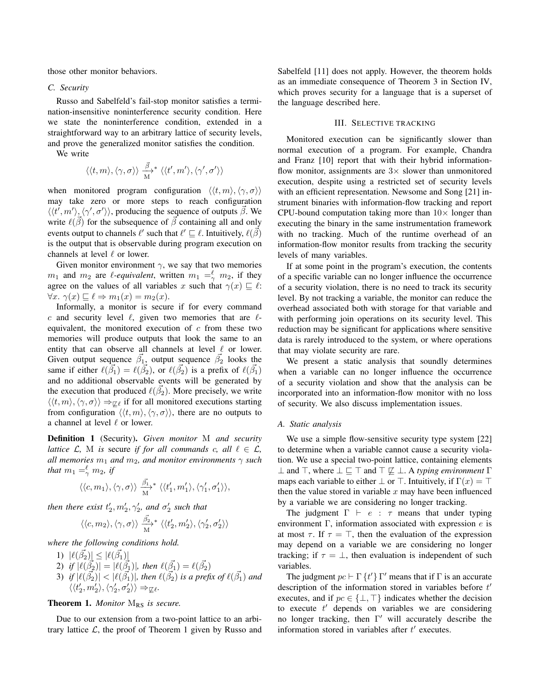those other monitor behaviors.

## *C. Security*

Russo and Sabelfeld's fail-stop monitor satisfies a termination-insensitive noninterference security condition. Here we state the noninterference condition, extended in a straightforward way to an arbitrary lattice of security levels, and prove the generalized monitor satisfies the condition.

We write

$$
\langle \langle t,m\rangle, \langle \gamma,\sigma\rangle \rangle \overset{\vec{\beta}}{\underset{\text{M}}{\longrightarrow}} {}^*\langle \langle t',m'\rangle, \langle \gamma',\sigma'\rangle \rangle
$$

when monitored program configuration  $\langle \langle t, m \rangle, \langle \gamma, \sigma \rangle \rangle$ may take zero or more steps to reach configuration  $\langle \langle t', m' \rangle, \langle \gamma', \sigma' \rangle \rangle$ , producing the sequence of outputs  $\vec{\beta}$ . We write  $\ell(\vec{\beta})$  for the subsequence of  $\vec{\beta}$  containing all and only events output to channels  $\ell'$  such that  $\ell' \sqsubseteq \ell$ . Intuitively,  $\ell(\vec{\beta})$ is the output that is observable during program execution on channels at level  $\ell$  or lower.

Given monitor environment  $\gamma$ , we say that two memories  $m_1$  and  $m_2$  are *l*-equivalent, written  $m_1 = \frac{\ell}{\gamma} m_2$ , if they agree on the values of all variables x such that  $\gamma(x) \sqsubseteq \ell$ :  $\forall x. \ \gamma(x) \sqsubseteq \ell \Rightarrow m_1(x) = m_2(x).$ 

Informally, a monitor is secure if for every command c and security level  $\ell$ , given two memories that are  $\ell$ equivalent, the monitored execution of  $c$  from these two memories will produce outputs that look the same to an entity that can observe all channels at level  $\ell$  or lower. Given output sequence  $\vec{\beta_1}$ , output sequence  $\vec{\beta_2}$  looks the same if either  $\ell(\vec{\beta}_1) = \ell(\vec{\beta}_2)$ , or  $\ell(\vec{\beta}_2)$  is a prefix of  $\ell(\vec{\beta}_1)$ and no additional observable events will be generated by the execution that produced  $\ell(\vec{\beta_2})$ . More precisely, we write  $\langle\langle t,m\rangle,\langle\gamma,\sigma\rangle\rangle \Rightarrow_{\nabla\ell}$  if for all monitored executions starting from configuration  $\langle\langle t,m\rangle,\langle\gamma,\sigma\rangle\rangle$ , there are no outputs to a channel at level  $\ell$  or lower.

Definition 1 (Security). *Given monitor* M *and security lattice*  $\mathcal{L}$ *,* M *is* secure *if for all commands c, all*  $\ell \in \mathcal{L}$ *, all memories*  $m_1$  *and*  $m_2$ *, and monitor environments*  $\gamma$  *such that*  $m_1 =^{\ell}_{\gamma} m_2$ , *if* 

$$
\langle\langle c,m_1\rangle,\langle\gamma,\sigma\rangle\rangle\ \frac{\vec{\beta_1}}{M}^* \ \langle\langle t_1',m_1'\rangle,\langle\gamma_1',\sigma_1'\rangle\rangle,
$$

*then there exist*  $t'_2, m'_2, \gamma'_2$ *, and*  $\sigma'_2$  *such that* 

$$
\langle \langle c, m_2 \rangle, \langle \gamma, \sigma \rangle \rangle \xrightarrow[M]{\beta_2^2} \langle \langle t_2', m_2' \rangle, \langle \gamma_2', \sigma_2' \rangle \rangle
$$

*where the following conditions hold.*

1)  $|\ell(\vec{\beta_2})| \leq |\ell(\vec{\beta_1})|$ 2) if  $|\ell(\vec{\beta}_2)| = |\ell(\vec{\beta}_1)|$ , then  $\ell(\vec{\beta}_1) = \ell(\vec{\beta}_2)$ 3) *if*  $|\ell(\vec{\beta_2})| < |\ell(\vec{\beta_1})|$ , then  $\ell(\vec{\beta_2})$  is a prefix of  $\ell(\vec{\beta_1})$  and  $\langle \langle t'_2, m'_2 \rangle, \langle \gamma'_2, \sigma'_2 \rangle \rangle \Rightarrow_{\mathbb{Z}} \ell.$ 

## Theorem 1. *Monitor* M<sub>RS</sub> is secure.

Due to our extension from a two-point lattice to an arbitrary lattice  $\mathcal{L}$ , the proof of Theorem 1 given by Russo and Sabelfeld [11] does not apply. However, the theorem holds as an immediate consequence of Theorem 3 in Section IV, which proves security for a language that is a superset of the language described here.

## III. SELECTIVE TRACKING

Monitored execution can be significantly slower than normal execution of a program. For example, Chandra and Franz [10] report that with their hybrid informationflow monitor, assignments are  $3\times$  slower than unmonitored execution, despite using a restricted set of security levels with an efficient representation. Newsome and Song [21] instrument binaries with information-flow tracking and report CPU-bound computation taking more than  $10\times$  longer than executing the binary in the same instrumentation framework with no tracking. Much of the runtime overhead of an information-flow monitor results from tracking the security levels of many variables.

If at some point in the program's execution, the contents of a specific variable can no longer influence the occurrence of a security violation, there is no need to track its security level. By not tracking a variable, the monitor can reduce the overhead associated both with storage for that variable and with performing join operations on its security level. This reduction may be significant for applications where sensitive data is rarely introduced to the system, or where operations that may violate security are rare.

We present a static analysis that soundly determines when a variable can no longer influence the occurrence of a security violation and show that the analysis can be incorporated into an information-flow monitor with no loss of security. We also discuss implementation issues.

## *A. Static analysis*

We use a simple flow-sensitive security type system [22] to determine when a variable cannot cause a security violation. We use a special two-point lattice, containing elements  $\perp$  and  $\top$ , where  $\perp \sqsubseteq \top$  and  $\top \not\sqsubseteq \perp$ . A *typing environment*  $\Gamma$ maps each variable to either  $\perp$  or  $\top$ . Intuitively, if  $\Gamma(x) = \top$ then the value stored in variable  $x$  may have been influenced by a variable we are considering no longer tracking.

The judgment  $\Gamma \vdash e : \tau$  means that under typing environment  $\Gamma$ , information associated with expression  $e$  is at most  $\tau$ . If  $\tau = \top$ , then the evaluation of the expression may depend on a variable we are considering no longer tracking; if  $\tau = \perp$ , then evaluation is independent of such variables.

The judgment  $pc \vdash \Gamma \{ t' \} \Gamma'$  means that if  $\Gamma$  is an accurate description of the information stored in variables before  $t'$ executes, and if  $pc \in \{\perp, \perp\}$  indicates whether the decision to execute  $t'$  depends on variables we are considering no longer tracking, then  $\Gamma'$  will accurately describe the information stored in variables after  $t'$  executes.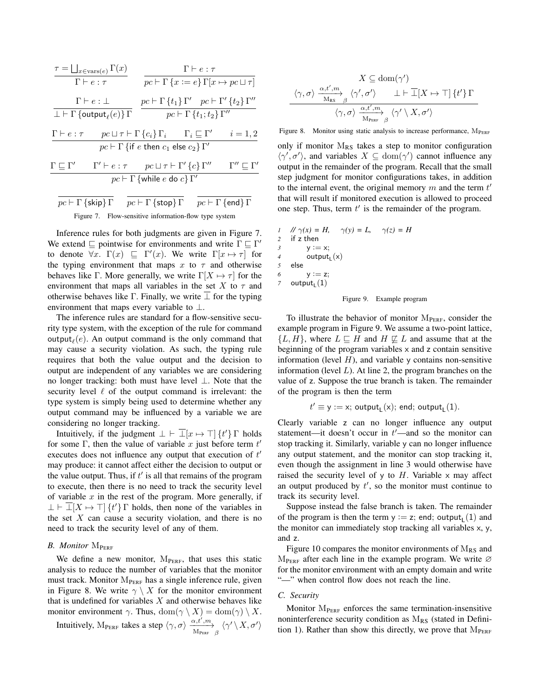$$
\begin{array}{c|c} \tau=\bigsqcup_{x\in \mathrm{vars}(e)}\Gamma(x) & \Gamma\vdash e:\tau \\ \hline \Gamma\vdash e:\tau & \overline{pc}\vdash \Gamma\left\{x:=e\right\}\Gamma[x\mapsto pc\sqcup \tau] \\ \hline \bot\vdash \Gamma\left\{\text{output}_\ell(e)\right\}\Gamma & \overline{pc}\vdash \Gamma\left\{t_1\right\}\Gamma' & \overline{pc}\vdash \Gamma'\left\{t_2\right\}\Gamma'' \\ \hline \Gamma'\vdash e:\tau & \overline{pc}\sqcup \tau\vdash \Gamma\left\{c_i\right\}\Gamma_i & \Gamma_i\sqsubseteq \Gamma' & i=1,2 \\ \hline pc\vdash \Gamma\left\{\text{if }e\text{ then }c_1\text{ else }c_2\right\}\Gamma' \\ \hline \Gamma'\vdash e:\tau & \overline{pc}\sqcup \tau\vdash \Gamma'\left\{c\right\}\Gamma'' & \Gamma''\sqsubseteq \Gamma' \\ \hline pc\vdash \Gamma\left\{\text{while }e\text{ do }c\right\}\Gamma' & \Gamma''\sqsubseteq \Gamma' \\ \hline pc\vdash \Gamma\left\{\text{skip}\right\}\Gamma & \overline{pc}\vdash \Gamma\left\{\text{stop}\right\}\Gamma & \overline{pc}\vdash \Gamma\left\{\text{end}\right\}\Gamma \\ \hline \text{Figure 7. Flow-sensitive information-flow type system} \end{array}
$$

Inference rules for both judgments are given in Figure 7. We extend  $\subseteq$  pointwise for environments and write  $\Gamma \subseteq \Gamma'$ to denote  $\forall x$ .  $\Gamma(x) \subseteq \Gamma'(x)$ . We write  $\Gamma[x \mapsto \tau]$  for the typing environment that maps x to  $\tau$  and otherwise behaves like Γ. More generally, we write  $\Gamma[X \mapsto \tau]$  for the environment that maps all variables in the set X to  $\tau$  and otherwise behaves like Γ. Finally, we write  $\overline{\perp}$  for the typing environment that maps every variable to  $\perp$ .

The inference rules are standard for a flow-sensitive security type system, with the exception of the rule for command output $_{\ell}(e)$ . An output command is the only command that may cause a security violation. As such, the typing rule requires that both the value output and the decision to output are independent of any variables we are considering no longer tracking: both must have level ⊥. Note that the security level  $\ell$  of the output command is irrelevant: the type system is simply being used to determine whether any output command may be influenced by a variable we are considering no longer tracking.

Intuitively, if the judgment  $\bot \vdash \overline{\bot}[x \mapsto \top] \{t'\} \Gamma$  holds for some  $\Gamma$ , then the value of variable x just before term  $t'$ executes does not influence any output that execution of  $t'$ may produce: it cannot affect either the decision to output or the value output. Thus, if  $t'$  is all that remains of the program to execute, then there is no need to track the security level of variable  $x$  in the rest of the program. More generally, if  $\perp \vdash \perp [X \mapsto \top]$  {t'}  $\Gamma$  holds, then none of the variables in the set  $X$  can cause a security violation, and there is no need to track the security level of any of them.

## *B. Monitor* M<sub>PERF</sub>

We define a new monitor,  $M_{PERF}$ , that uses this static analysis to reduce the number of variables that the monitor must track. Monitor  $M_{PERF}$  has a single inference rule, given in Figure 8. We write  $\gamma \setminus X$  for the monitor environment that is undefined for variables  $X$  and otherwise behaves like monitor environment  $\gamma$ . Thus,  $\text{dom}(\gamma \setminus X) = \text{dom}(\gamma) \setminus X$ . Intuitively,  $M_{\text{PERF}}$  takes a step  $\langle \gamma, \sigma \rangle \xrightarrow[M_{\text{PERF}}]{\alpha, t', m}{\langle \gamma' \setminus X, \sigma' \rangle}$ 

$$
X \subseteq \text{dom}(\gamma')
$$
\n
$$
\langle \gamma, \sigma \rangle \xrightarrow[\text{M}_{\text{RS}}]{\alpha, t', m} \langle \gamma', \sigma' \rangle \qquad \perp \vdash \overline{\perp}[X \mapsto \top] \{t'\} \Gamma
$$
\n
$$
\langle \gamma, \sigma \rangle \xrightarrow[\text{M}_{\text{PERF}}]{\alpha, t', m} \langle \gamma' \setminus X, \sigma' \rangle
$$

Figure 8. Monitor using static analysis to increase performance,  $M_{PERF}$ 

only if monitor  $M_{RS}$  takes a step to monitor configuration  $\langle \gamma', \sigma' \rangle$ , and variables  $X \subseteq \text{dom}(\gamma')$  cannot influence any output in the remainder of the program. Recall that the small step judgment for monitor configurations takes, in addition to the internal event, the original memory  $m$  and the term  $t'$ that will result if monitored execution is allowed to proceed one step. Thus, term  $t'$  is the remainder of the program.

$$
1 \quad // \gamma(x) = H, \quad \gamma(y) = L, \quad \gamma(z) = H
$$
  
2 if z then  
3  $y := x;$   
4  $\text{output}_L(x)$   
5 else  
6  $y := z;$   
7  $\text{output}_L(1)$ 



To illustrate the behavior of monitor  $M_{PERF}$ , consider the example program in Figure 9. We assume a two-point lattice,  $\{L, H\}$ , where  $L \subseteq H$  and  $H \nsubseteq L$  and assume that at the beginning of the program variables x and z contain sensitive information (level  $H$ ), and variable y contains non-sensitive information (level  $L$ ). At line 2, the program branches on the value of z. Suppose the true branch is taken. The remainder of the program is then the term

$$
t' \equiv y := x; \: \mathsf{output}_L(x); \: \mathsf{end}; \: \mathsf{output}_L(1).
$$

Clearly variable z can no longer influence any output statement—it doesn't occur in  $t'$ —and so the monitor can stop tracking it. Similarly, variable y can no longer influence any output statement, and the monitor can stop tracking it, even though the assignment in line 3 would otherwise have raised the security level of y to  $H$ . Variable  $\times$  may affect an output produced by  $t'$ , so the monitor must continue to track its security level.

Suppose instead the false branch is taken. The remainder of the program is then the term  $y := z$ ; end; output<sub>L</sub>(1) and the monitor can immediately stop tracking all variables x, y, and z.

Figure 10 compares the monitor environments of  $M_{RS}$  and  $M_{PERF}$  after each line in the example program. We write  $\varnothing$ for the monitor environment with an empty domain and write "—" when control flow does not reach the line.

## *C. Security*

Monitor  $M_{PERF}$  enforces the same termination-insensitive noninterference security condition as  $M_{RS}$  (stated in Definition 1). Rather than show this directly, we prove that  $M_{PERF}$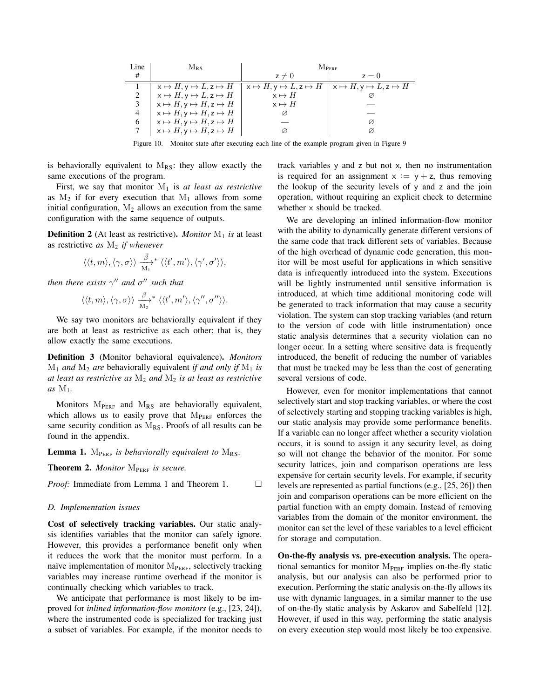| Line | $M_{RS}$                                                                                                                                                                                                                                                                                                                                                                                                                                       | <b>MPERF</b> |       |  |
|------|------------------------------------------------------------------------------------------------------------------------------------------------------------------------------------------------------------------------------------------------------------------------------------------------------------------------------------------------------------------------------------------------------------------------------------------------|--------------|-------|--|
| #    |                                                                                                                                                                                                                                                                                                                                                                                                                                                | $z \neq 0$   | $z=0$ |  |
|      | $\begin{array}{c c c c c c c} 1&\times\mapsto H,y\mapsto L,z\mapsto H&\times\mapsto H,y\mapsto L,z\mapsto H&\times\mapsto H,y\mapsto L,z\mapsto H\\ 2&\times\mapsto H,y\mapsto L,z\mapsto H&\times\mapsto H&\times\\ 3&\times\mapsto H,y\mapsto H,z\mapsto H&\times\mapsto H&\times\\ 4&\times\mapsto H,y\mapsto H,z\mapsto H&\otimes&\multicolumn{3}{c}\nonumber\\ 6&\times\mapsto H,y\mapsto H,z\mapsto H&\cong&\otimes&\otimes&\end{array}$ |              |       |  |
|      |                                                                                                                                                                                                                                                                                                                                                                                                                                                |              |       |  |
|      |                                                                                                                                                                                                                                                                                                                                                                                                                                                |              |       |  |
|      |                                                                                                                                                                                                                                                                                                                                                                                                                                                |              |       |  |
|      |                                                                                                                                                                                                                                                                                                                                                                                                                                                |              |       |  |
|      |                                                                                                                                                                                                                                                                                                                                                                                                                                                |              |       |  |

Figure 10. Monitor state after executing each line of the example program given in Figure 9

is behaviorally equivalent to  $M_{RS}$ : they allow exactly the same executions of the program.

First, we say that monitor  $M_1$  is *at least as restrictive* as  $M_2$  if for every execution that  $M_1$  allows from some initial configuration,  $M_2$  allows an execution from the same configuration with the same sequence of outputs.

**Definition 2** (At least as restrictive). *Monitor*  $M_1$  *is* at least as restrictive *as* M<sup>2</sup> *if whenever*

$$
\langle\langle t,m\rangle,\langle\gamma,\sigma\rangle\rangle\stackrel{\vec{\beta}}{\underset{\text{M}_1}{\longrightarrow}}^*\langle\langle t',m'\rangle,\langle\gamma',\sigma'\rangle\rangle,
$$

*then there exists*  $\gamma''$  *and*  $\sigma''$  *such that* 

$$
\langle \langle t,m\rangle, \langle \gamma,\sigma\rangle \rangle \overset{\vec{\beta}}{\underset{\text{$M_2$}}{\longrightarrow}}{}^* \langle \langle t',m'\rangle, \langle \gamma'',\sigma''\rangle \rangle.
$$

We say two monitors are behaviorally equivalent if they are both at least as restrictive as each other; that is, they allow exactly the same executions.

Definition 3 (Monitor behavioral equivalence). *Monitors*  $M_1$  *and*  $M_2$  *are* behaviorally equivalent *if and only if*  $M_1$  *is at least as restrictive as* M<sup>2</sup> *and* M<sup>2</sup> *is at least as restrictive as* M1*.*

Monitors  $M_{PERF}$  and  $M_{RS}$  are behaviorally equivalent, which allows us to easily prove that MPERF enforces the same security condition as  $M_{RS}$ . Proofs of all results can be found in the appendix.

**Lemma 1.**  $M_{PERF}$  *is behaviorally equivalent to*  $M_{RS}$ *.* 

Theorem 2. *Monitor* M<sub>PERF</sub> is secure.

*Proof:* Immediate from Lemma 1 and Theorem 1. □

## *D. Implementation issues*

Cost of selectively tracking variables. Our static analysis identifies variables that the monitor can safely ignore. However, this provides a performance benefit only when it reduces the work that the monitor must perform. In a naïve implementation of monitor M<sub>PERF</sub>, selectively tracking variables may increase runtime overhead if the monitor is continually checking which variables to track.

We anticipate that performance is most likely to be improved for *inlined information-flow monitors* (e.g., [23, 24]), where the instrumented code is specialized for tracking just a subset of variables. For example, if the monitor needs to track variables y and z but not x, then no instrumentation is required for an assignment  $x := y + z$ , thus removing the lookup of the security levels of y and z and the join operation, without requiring an explicit check to determine whether x should be tracked.

We are developing an inlined information-flow monitor with the ability to dynamically generate different versions of the same code that track different sets of variables. Because of the high overhead of dynamic code generation, this monitor will be most useful for applications in which sensitive data is infrequently introduced into the system. Executions will be lightly instrumented until sensitive information is introduced, at which time additional monitoring code will be generated to track information that may cause a security violation. The system can stop tracking variables (and return to the version of code with little instrumentation) once static analysis determines that a security violation can no longer occur. In a setting where sensitive data is frequently introduced, the benefit of reducing the number of variables that must be tracked may be less than the cost of generating several versions of code.

However, even for monitor implementations that cannot selectively start and stop tracking variables, or where the cost of selectively starting and stopping tracking variables is high, our static analysis may provide some performance benefits. If a variable can no longer affect whether a security violation occurs, it is sound to assign it any security level, as doing so will not change the behavior of the monitor. For some security lattices, join and comparison operations are less expensive for certain security levels. For example, if security levels are represented as partial functions (e.g., [25, 26]) then join and comparison operations can be more efficient on the partial function with an empty domain. Instead of removing variables from the domain of the monitor environment, the monitor can set the level of these variables to a level efficient for storage and computation.

On-the-fly analysis vs. pre-execution analysis. The operational semantics for monitor  $M_{PERF}$  implies on-the-fly static analysis, but our analysis can also be performed prior to execution. Performing the static analysis on-the-fly allows its use with dynamic languages, in a similar manner to the use of on-the-fly static analysis by Askarov and Sabelfeld [12]. However, if used in this way, performing the static analysis on every execution step would most likely be too expensive.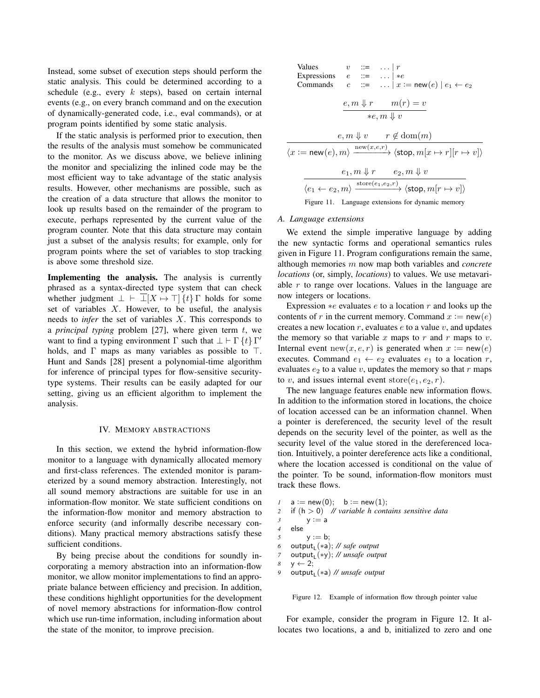Instead, some subset of execution steps should perform the static analysis. This could be determined according to a schedule (e.g., every  $k$  steps), based on certain internal events (e.g., on every branch command and on the execution of dynamically-generated code, i.e., eval commands), or at program points identified by some static analysis.

If the static analysis is performed prior to execution, then the results of the analysis must somehow be communicated to the monitor. As we discuss above, we believe inlining the monitor and specializing the inlined code may be the most efficient way to take advantage of the static analysis results. However, other mechanisms are possible, such as the creation of a data structure that allows the monitor to look up results based on the remainder of the program to execute, perhaps represented by the current value of the program counter. Note that this data structure may contain just a subset of the analysis results; for example, only for program points where the set of variables to stop tracking is above some threshold size.

Implementing the analysis. The analysis is currently phrased as a syntax-directed type system that can check whether judgment  $\bot \vdash \bot[X \mapsto \top] \{t\} \Gamma$  holds for some set of variables  $X$ . However, to be useful, the analysis needs to *infer* the set of variables X. This corresponds to a *principal typing* problem [27], where given term t, we want to find a typing environment  $\Gamma$  such that  $\bot \vdash \Gamma$  {t} Γ' holds, and  $\Gamma$  maps as many variables as possible to  $\top$ . Hunt and Sands [28] present a polynomial-time algorithm for inference of principal types for flow-sensitive securitytype systems. Their results can be easily adapted for our setting, giving us an efficient algorithm to implement the analysis.

#### IV. MEMORY ABSTRACTIONS

In this section, we extend the hybrid information-flow monitor to a language with dynamically allocated memory and first-class references. The extended monitor is parameterized by a sound memory abstraction. Interestingly, not all sound memory abstractions are suitable for use in an information-flow monitor. We state sufficient conditions on the information-flow monitor and memory abstraction to enforce security (and informally describe necessary conditions). Many practical memory abstractions satisfy these sufficient conditions.

By being precise about the conditions for soundly incorporating a memory abstraction into an information-flow monitor, we allow monitor implementations to find an appropriate balance between efficiency and precision. In addition, these conditions highlight opportunities for the development of novel memory abstractions for information-flow control which use run-time information, including information about the state of the monitor, to improve precision.

| Values                                        | $v$ ::=    r |                                                                                                                                      |  |  |  |  |
|-----------------------------------------------|--------------|--------------------------------------------------------------------------------------------------------------------------------------|--|--|--|--|
| Expressions $e ::=    *e$                     |              |                                                                                                                                      |  |  |  |  |
| Commands $c$                                  |              |                                                                                                                                      |  |  |  |  |
|                                               |              |                                                                                                                                      |  |  |  |  |
|                                               |              | $e, m \Downarrow r$ $m(r) = v$                                                                                                       |  |  |  |  |
| $*e, m \Downarrow v$                          |              |                                                                                                                                      |  |  |  |  |
|                                               |              |                                                                                                                                      |  |  |  |  |
| $e, m \Downarrow v$ $r \not\in \text{dom}(m)$ |              |                                                                                                                                      |  |  |  |  |
|                                               |              | $\langle x := \mathsf{new}(e), m \rangle \xrightarrow{\text{new}(x,e,r)} \langle \mathsf{stop}, m[x \mapsto r][r \mapsto v] \rangle$ |  |  |  |  |
|                                               |              | $e_1, m \Downarrow r$ $e_2, m \Downarrow v$                                                                                          |  |  |  |  |
|                                               |              | $\langle e_1 \leftarrow e_2, m \rangle \xrightarrow{\text{store}(e_1, e_2, r)} \langle \text{stop}, m[r \mapsto v] \rangle$          |  |  |  |  |

#### *A. Language extensions*

We extend the simple imperative language by adding the new syntactic forms and operational semantics rules given in Figure 11. Program configurations remain the same, although memories m now map both variables and *concrete locations* (or, simply, *locations*) to values. We use metavariable  $r$  to range over locations. Values in the language are now integers or locations.

Expression  $*e$  evaluates  $e$  to a location  $r$  and looks up the contents of r in the current memory. Command  $x := new(e)$ creates a new location  $r$ , evaluates  $e$  to a value  $v$ , and updates the memory so that variable x maps to r and r maps to v. Internal event new(x, e, r) is generated when  $x := new(e)$ executes. Command  $e_1 \leftarrow e_2$  evaluates  $e_1$  to a location r, evaluates  $e_2$  to a value v, updates the memory so that r maps to v, and issues internal event store $(e_1, e_2, r)$ .

The new language features enable new information flows. In addition to the information stored in locations, the choice of location accessed can be an information channel. When a pointer is dereferenced, the security level of the result depends on the security level of the pointer, as well as the security level of the value stored in the dereferenced location. Intuitively, a pointer dereference acts like a conditional, where the location accessed is conditional on the value of the pointer. To be sound, information-flow monitors must track these flows.

*1*  $a := new(0); b := new(1);$ *2* if (h > 0) *// variable h contains sensitive data 3* y := a *4* else 5  $y := b$ ; *6* output<sub>L</sub>(\*a); // safe output *7* output<sub>L</sub>(\*y); // *unsafe output*  $8 \quad y \leftarrow 2$ ; *9* output<sub>L</sub>(\*a) // *unsafe output* 

Figure 12. Example of information flow through pointer value

For example, consider the program in Figure 12. It allocates two locations, a and b, initialized to zero and one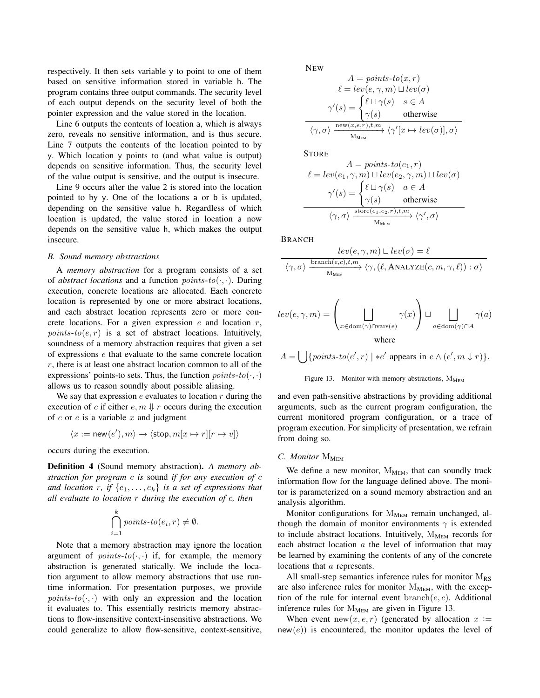respectively. It then sets variable y to point to one of them based on sensitive information stored in variable h. The program contains three output commands. The security level of each output depends on the security level of both the pointer expression and the value stored in the location.

Line 6 outputs the contents of location a, which is always zero, reveals no sensitive information, and is thus secure. Line 7 outputs the contents of the location pointed to by y. Which location y points to (and what value is output) depends on sensitive information. Thus, the security level of the value output is sensitive, and the output is insecure.

Line 9 occurs after the value 2 is stored into the location pointed to by y. One of the locations a or b is updated, depending on the sensitive value h. Regardless of which location is updated, the value stored in location a now depends on the sensitive value h, which makes the output insecure.

## *B. Sound memory abstractions*

A *memory abstraction* for a program consists of a set of *abstract locations* and a function *points-to* $(\cdot, \cdot)$ . During execution, concrete locations are allocated. Each concrete location is represented by one or more abstract locations, and each abstract location represents zero or more concrete locations. For a given expression  $e$  and location  $r$ ,  $points-to(e, r)$  is a set of abstract locations. Intuitively, soundness of a memory abstraction requires that given a set of expressions e that evaluate to the same concrete location r, there is at least one abstract location common to all of the expressions' points-to sets. Thus, the function  $points-to(·, ·)$ allows us to reason soundly about possible aliasing.

We say that expression  $e$  evaluates to location  $r$  during the execution of c if either  $e, m \Downarrow r$  occurs during the execution of  $c$  or  $e$  is a variable  $x$  and judgment

$$
\langle x:=\mathsf{new}(e'),m\rangle\to\langle\mathsf{stop},m[x\mapsto r][r\mapsto v]\rangle
$$

occurs during the execution.

Definition 4 (Sound memory abstraction). *A memory abstraction for program* c *is* sound *if for any execution of* c *and location* r, if  $\{e_1, \ldots, e_k\}$  *is a set of expressions that all evaluate to location* r *during the execution of* c*, then*

$$
\bigcap_{i=1}^{k} points\text{-}to(e_i,r)\neq\emptyset.
$$

Note that a memory abstraction may ignore the location argument of *points-to* $(\cdot, \cdot)$  if, for example, the memory abstraction is generated statically. We include the location argument to allow memory abstractions that use runtime information. For presentation purposes, we provide  $points-to(\cdot, \cdot)$  with only an expression and the location it evaluates to. This essentially restricts memory abstractions to flow-insensitive context-insensitive abstractions. We could generalize to allow flow-sensitive, context-sensitive, **NEW** 

$$
A = points \text{-} to(x, r)
$$

$$
\ell = lev(e, \gamma, m) \sqcup lev(\sigma)
$$

$$
\gamma'(s) = \begin{cases} \ell \sqcup \gamma(s) & s \in A \\ \gamma(s) & \text{otherwise} \end{cases}
$$

$$
\langle \gamma, \sigma \rangle \xrightarrow{\text{new}(x, e, r), t, m} \langle \gamma'[x \mapsto lev(\sigma)], \sigma \rangle
$$

**STORE** 

$$
A = points \text{-} to (e_1, r)
$$
\n
$$
\ell = lev(e_1, \gamma, m) \sqcup lev(e_2, \gamma, m) \sqcup lev(\sigma)
$$
\n
$$
\gamma'(s) = \begin{cases} \ell \sqcup \gamma(s) & a \in A \\ \gamma(s) & \text{otherwise} \end{cases}
$$
\n
$$
\langle \gamma, \sigma \rangle \xrightarrow{\text{store}(e_1, e_2, r), t, m} \langle \gamma', \sigma \rangle
$$

BRANCH

$$
\frac{lev(e, \gamma, m) \sqcup lev(\sigma) = \ell}{\langle \gamma, \sigma \rangle \xrightarrow{\text{branch}(e, c), t, m} \langle \gamma, (\ell, \text{ANALYZE}(c, m, \gamma, \ell)) : \sigma \rangle}
$$

$$
lev(e, \gamma, m) = \left(\bigsqcup_{x \in \text{dom}(\gamma) \cap \text{vars}(e)} \gamma(x)\right) \sqcup \bigsqcup_{a \in \text{dom}(\gamma) \cap A} \gamma(a)
$$
  
where

$$
A = \bigcup \{points\text{-}to(e',r) \mid \text{*}e' \text{ appears in } e \land (e',m \Downarrow r)\}.
$$



and even path-sensitive abstractions by providing additional arguments, such as the current program configuration, the current monitored program configuration, or a trace of program execution. For simplicity of presentation, we refrain from doing so.

## *C. Monitor* M<sub>MEM</sub>

We define a new monitor,  $M_{MEM}$ , that can soundly track information flow for the language defined above. The monitor is parameterized on a sound memory abstraction and an analysis algorithm.

Monitor configurations for  $M_{MEM}$  remain unchanged, although the domain of monitor environments  $\gamma$  is extended to include abstract locations. Intuitively,  $M_{MEM}$  records for each abstract location  $a$  the level of information that may be learned by examining the contents of any of the concrete locations that a represents.

All small-step semantics inference rules for monitor  $M_{RS}$ are also inference rules for monitor  $M_{MEM}$ , with the exception of the rule for internal event  $branch(e, c)$ . Additional inference rules for  $M_{MEM}$  are given in Figure 13.

When event new(x, e, r) (generated by allocation  $x :=$  $new(e)$ ) is encountered, the monitor updates the level of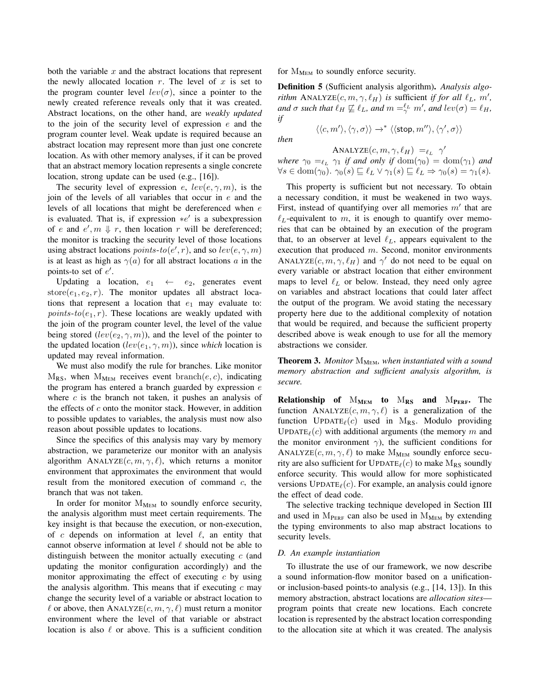both the variable  $x$  and the abstract locations that represent the newly allocated location  $r$ . The level of  $x$  is set to the program counter level  $lev(\sigma)$ , since a pointer to the newly created reference reveals only that it was created. Abstract locations, on the other hand, are *weakly updated* to the join of the security level of expression  $e$  and the program counter level. Weak update is required because an abstract location may represent more than just one concrete location. As with other memory analyses, if it can be proved that an abstract memory location represents a single concrete location, strong update can be used (e.g., [16]).

The security level of expression e,  $lev(e, \gamma, m)$ , is the join of the levels of all variables that occur in  $e$  and the levels of all locations that might be dereferenced when e is evaluated. That is, if expression  $*e'$  is a subexpression of e and  $e', m \Downarrow r$ , then location r will be dereferenced; the monitor is tracking the security level of those locations using abstract locations  $points-to(e', r)$ , and so  $lev(e, \gamma, m)$ is at least as high as  $\gamma(a)$  for all abstract locations a in the points-to set of  $e'$ .

Updating a location,  $e_1 \leftarrow e_2$ , generates event store $(e_1, e_2, r)$ . The monitor updates all abstract locations that represent a location that  $e_1$  may evaluate to: *points-to* $(e_1, r)$ . These locations are weakly updated with the join of the program counter level, the level of the value being stored  $(lev(e_2, \gamma, m))$ , and the level of the pointer to the updated location  $(lev(e_1, \gamma, m))$ , since *which* location is updated may reveal information.

We must also modify the rule for branches. Like monitor  $M_{RS}$ , when  $M_{MEM}$  receives event branch(e, c), indicating the program has entered a branch guarded by expression  $e$ where  $c$  is the branch not taken, it pushes an analysis of the effects of  $c$  onto the monitor stack. However, in addition to possible updates to variables, the analysis must now also reason about possible updates to locations.

Since the specifics of this analysis may vary by memory abstraction, we parameterize our monitor with an analysis algorithm ANALYZE $(c, m, \gamma, \ell)$ , which returns a monitor environment that approximates the environment that would result from the monitored execution of command c, the branch that was not taken.

In order for monitor  $M_{MEM}$  to soundly enforce security, the analysis algorithm must meet certain requirements. The key insight is that because the execution, or non-execution, of c depends on information at level  $\ell$ , an entity that cannot observe information at level  $\ell$  should not be able to distinguish between the monitor actually executing  $c$  (and updating the monitor configuration accordingly) and the monitor approximating the effect of executing  $c$  by using the analysis algorithm. This means that if executing  $c$  may change the security level of a variable or abstract location to  $\ell$  or above, then ANALYZE $(c, m, \gamma, \ell)$  must return a monitor environment where the level of that variable or abstract location is also  $\ell$  or above. This is a sufficient condition for  $M_{MEM}$  to soundly enforce security.

Definition 5 (Sufficient analysis algorithm). *Analysis algorithm* ANALYZE $(c, m, \gamma, \ell_H)$  *is sufficient if for all*  $\ell_L$ ,  $m'$ , *and*  $\sigma$  *such that*  $\ell_H \not\sqsubseteq \ell_L$ *, and*  $m =^{\ell_L}_{\gamma} m'$ *, and*  $lev(\sigma) = \ell_H$ *, if*

*then*

ANALYZE $(c, m, \gamma, \ell_H) =_{\ell_L} \gamma'$ 

 $\langle\langle c,m'\rangle,\langle\gamma,\sigma\rangle\rangle\rightarrow^*\langle\langle\mathsf{stop}, m''\rangle,\langle\gamma',\sigma\rangle\rangle$ 

*where*  $\gamma_0 =_{\ell_L} \gamma_1$  *if and only if*  $dom(\gamma_0) = dom(\gamma_1)$  *and*  $\forall s \in \text{dom}(\gamma_0)$ .  $\gamma_0(s) \sqsubseteq \ell_L \vee \gamma_1(s) \sqsubseteq \ell_L \Rightarrow \gamma_0(s) = \gamma_1(s)$ .

This property is sufficient but not necessary. To obtain a necessary condition, it must be weakened in two ways. First, instead of quantifying over all memories  $m'$  that are  $\ell_L$ -equivalent to m, it is enough to quantify over memories that can be obtained by an execution of the program that, to an observer at level  $\ell_L$ , appears equivalent to the execution that produced  $m$ . Second, monitor environments ANALYZE $(c, m, \gamma, \ell_H)$  and  $\gamma'$  do not need to be equal on every variable or abstract location that either environment maps to level  $\ell_L$  or below. Instead, they need only agree on variables and abstract locations that could later affect the output of the program. We avoid stating the necessary property here due to the additional complexity of notation that would be required, and because the sufficient property described above is weak enough to use for all the memory abstractions we consider.

Theorem 3. Monitor  $M_{MEM}$ , when instantiated with a sound *memory abstraction and sufficient analysis algorithm, is secure.*

**Relationship of**  $M_{MEM}$  to  $M_{RS}$  and  $M_{PERF}$ . The function ANALYZE $(c, m, \gamma, \ell)$  is a generalization of the function UPDATE<sub> $\ell$ </sub>(c) used in M<sub>RS</sub>. Modulo providing UPDATE<sub> $\ell$ </sub>(c) with additional arguments (the memory m and the monitor environment  $\gamma$ ), the sufficient conditions for ANALYZE $(c, m, \gamma, \ell)$  to make M<sub>MEM</sub> soundly enforce security are also sufficient for UPDATE $_{\ell}(c)$  to make M<sub>RS</sub> soundly enforce security. This would allow for more sophisticated versions  $UPDATE<sub>ℓ</sub>(c)$ . For example, an analysis could ignore the effect of dead code.

The selective tracking technique developed in Section III and used in  $M_{PERF}$  can also be used in  $M_{MEM}$  by extending the typing environments to also map abstract locations to security levels.

### *D. An example instantiation*

To illustrate the use of our framework, we now describe a sound information-flow monitor based on a unificationor inclusion-based points-to analysis (e.g., [14, 13]). In this memory abstraction, abstract locations are *allocation sites* program points that create new locations. Each concrete location is represented by the abstract location corresponding to the allocation site at which it was created. The analysis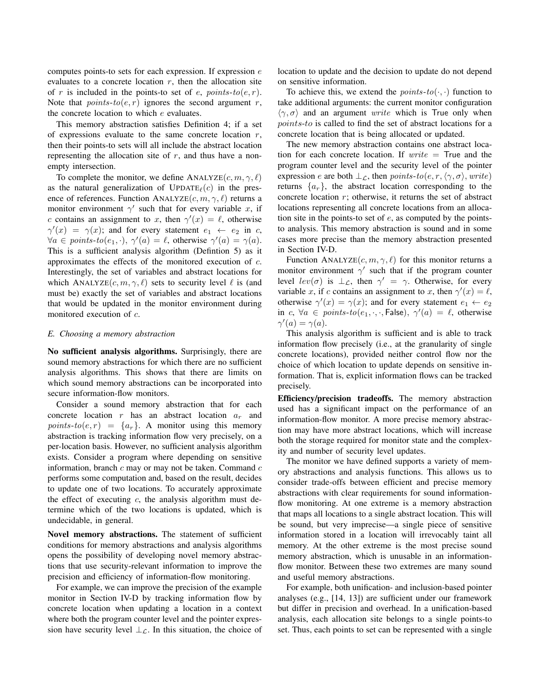computes points-to sets for each expression. If expression  $e$ evaluates to a concrete location  $r$ , then the allocation site of r is included in the points-to set of e, points-to(e, r). Note that  $points-to(e, r)$  ignores the second argument r, the concrete location to which e evaluates.

This memory abstraction satisfies Definition 4; if a set of expressions evaluate to the same concrete location  $r$ , then their points-to sets will all include the abstract location representing the allocation site of  $r$ , and thus have a nonempty intersection.

To complete the monitor, we define ANALYZE $(c, m, \gamma, \ell)$ as the natural generalization of  $UPDATE_{\ell}(c)$  in the presence of references. Function ANALYZE $(c, m, \gamma, \ell)$  returns a monitor environment  $\gamma'$  such that for every variable x, if c contains an assignment to x, then  $\gamma'(x) = \ell$ , otherwise  $\gamma'(x) = \gamma(x)$ ; and for every statement  $e_1 \leftarrow e_2$  in c,  $\forall a \in points-to(e_1, \cdot), \ \gamma'(a) = \ell, \ \text{otherwise} \ \gamma'(a) = \gamma(a).$ This is a sufficient analysis algorithm (Defintion 5) as it approximates the effects of the monitored execution of c. Interestingly, the set of variables and abstract locations for which ANALYZE $(c, m, \gamma, \ell)$  sets to security level  $\ell$  is (and must be) exactly the set of variables and abstract locations that would be updated in the monitor environment during monitored execution of c.

#### *E. Choosing a memory abstraction*

No sufficient analysis algorithms. Surprisingly, there are sound memory abstractions for which there are no sufficient analysis algorithms. This shows that there are limits on which sound memory abstractions can be incorporated into secure information-flow monitors.

Consider a sound memory abstraction that for each concrete location r has an abstract location  $a_r$  and points-to(e, r) =  $\{a_r\}$ . A monitor using this memory abstraction is tracking information flow very precisely, on a per-location basis. However, no sufficient analysis algorithm exists. Consider a program where depending on sensitive information, branch  $c$  may or may not be taken. Command  $c$ performs some computation and, based on the result, decides to update one of two locations. To accurately approximate the effect of executing  $c$ , the analysis algorithm must determine which of the two locations is updated, which is undecidable, in general.

Novel memory abstractions. The statement of sufficient conditions for memory abstractions and analysis algorithms opens the possibility of developing novel memory abstractions that use security-relevant information to improve the precision and efficiency of information-flow monitoring.

For example, we can improve the precision of the example monitor in Section IV-D by tracking information flow by concrete location when updating a location in a context where both the program counter level and the pointer expression have security level  $\perp_{\mathcal{L}}$ . In this situation, the choice of location to update and the decision to update do not depend on sensitive information.

To achieve this, we extend the *points-to* $(\cdot, \cdot)$  function to take additional arguments: the current monitor configuration  $\langle \gamma, \sigma \rangle$  and an argument *write* which is True only when points-to is called to find the set of abstract locations for a concrete location that is being allocated or updated.

The new memory abstraction contains one abstract location for each concrete location. If  $write = True$  and the program counter level and the security level of the pointer expression e are both  $\perp_c$ , then points-to(e, r,  $\langle \gamma, \sigma \rangle$ , write) returns  $\{a_r\}$ , the abstract location corresponding to the concrete location  $r$ ; otherwise, it returns the set of abstract locations representing all concrete locations from an allocation site in the points-to set of  $e$ , as computed by the pointsto analysis. This memory abstraction is sound and in some cases more precise than the memory abstraction presented in Section IV-D.

Function ANALYZE $(c, m, \gamma, \ell)$  for this monitor returns a monitor environment  $\gamma'$  such that if the program counter level  $lev(\sigma)$  is  $\perp_{\mathcal{L}}$ , then  $\gamma' = \gamma$ . Otherwise, for every variable x, if c contains an assignment to x, then  $\gamma'(x) = \ell$ , otherwise  $\gamma'(x) = \gamma(x)$ ; and for every statement  $e_1 \leftarrow e_2$ in  $c, \forall a \in points-to(e_1, \cdot, \cdot, \text{False}), \ \gamma'(a) = \ell$ , otherwise  $\gamma'(a) = \gamma(a).$ 

This analysis algorithm is sufficient and is able to track information flow precisely (i.e., at the granularity of single concrete locations), provided neither control flow nor the choice of which location to update depends on sensitive information. That is, explicit information flows can be tracked precisely.

Efficiency/precision tradeoffs. The memory abstraction used has a significant impact on the performance of an information-flow monitor. A more precise memory abstraction may have more abstract locations, which will increase both the storage required for monitor state and the complexity and number of security level updates.

The monitor we have defined supports a variety of memory abstractions and analysis functions. This allows us to consider trade-offs between efficient and precise memory abstractions with clear requirements for sound informationflow monitoring. At one extreme is a memory abstraction that maps all locations to a single abstract location. This will be sound, but very imprecise—a single piece of sensitive information stored in a location will irrevocably taint all memory. At the other extreme is the most precise sound memory abstraction, which is unusable in an informationflow monitor. Between these two extremes are many sound and useful memory abstractions.

For example, both unification- and inclusion-based pointer analyses (e.g., [14, 13]) are sufficient under our framework but differ in precision and overhead. In a unification-based analysis, each allocation site belongs to a single points-to set. Thus, each points to set can be represented with a single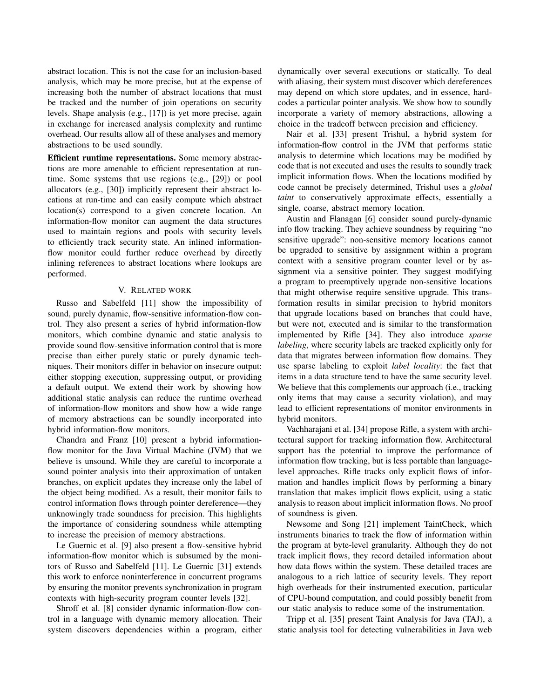abstract location. This is not the case for an inclusion-based analysis, which may be more precise, but at the expense of increasing both the number of abstract locations that must be tracked and the number of join operations on security levels. Shape analysis (e.g., [17]) is yet more precise, again in exchange for increased analysis complexity and runtime overhead. Our results allow all of these analyses and memory abstractions to be used soundly.

Efficient runtime representations. Some memory abstractions are more amenable to efficient representation at runtime. Some systems that use regions (e.g., [29]) or pool allocators (e.g., [30]) implicitly represent their abstract locations at run-time and can easily compute which abstract location(s) correspond to a given concrete location. An information-flow monitor can augment the data structures used to maintain regions and pools with security levels to efficiently track security state. An inlined informationflow monitor could further reduce overhead by directly inlining references to abstract locations where lookups are performed.

## V. RELATED WORK

Russo and Sabelfeld [11] show the impossibility of sound, purely dynamic, flow-sensitive information-flow control. They also present a series of hybrid information-flow monitors, which combine dynamic and static analysis to provide sound flow-sensitive information control that is more precise than either purely static or purely dynamic techniques. Their monitors differ in behavior on insecure output: either stopping execution, suppressing output, or providing a default output. We extend their work by showing how additional static analysis can reduce the runtime overhead of information-flow monitors and show how a wide range of memory abstractions can be soundly incorporated into hybrid information-flow monitors.

Chandra and Franz [10] present a hybrid informationflow monitor for the Java Virtual Machine (JVM) that we believe is unsound. While they are careful to incorporate a sound pointer analysis into their approximation of untaken branches, on explicit updates they increase only the label of the object being modified. As a result, their monitor fails to control information flows through pointer dereference—they unknowingly trade soundness for precision. This highlights the importance of considering soundness while attempting to increase the precision of memory abstractions.

Le Guernic et al. [9] also present a flow-sensitive hybrid information-flow monitor which is subsumed by the monitors of Russo and Sabelfeld [11]. Le Guernic [31] extends this work to enforce noninterference in concurrent programs by ensuring the monitor prevents synchronization in program contexts with high-security program counter levels [32].

Shroff et al. [8] consider dynamic information-flow control in a language with dynamic memory allocation. Their system discovers dependencies within a program, either dynamically over several executions or statically. To deal with aliasing, their system must discover which dereferences may depend on which store updates, and in essence, hardcodes a particular pointer analysis. We show how to soundly incorporate a variety of memory abstractions, allowing a choice in the tradeoff between precision and efficiency.

Nair et al. [33] present Trishul, a hybrid system for information-flow control in the JVM that performs static analysis to determine which locations may be modified by code that is not executed and uses the results to soundly track implicit information flows. When the locations modified by code cannot be precisely determined, Trishul uses a *global taint* to conservatively approximate effects, essentially a single, coarse, abstract memory location.

Austin and Flanagan [6] consider sound purely-dynamic info flow tracking. They achieve soundness by requiring "no sensitive upgrade": non-sensitive memory locations cannot be upgraded to sensitive by assignment within a program context with a sensitive program counter level or by assignment via a sensitive pointer. They suggest modifying a program to preemptively upgrade non-sensitive locations that might otherwise require sensitive upgrade. This transformation results in similar precision to hybrid monitors that upgrade locations based on branches that could have, but were not, executed and is similar to the transformation implemented by Rifle [34]. They also introduce *sparse labeling*, where security labels are tracked explicitly only for data that migrates between information flow domains. They use sparse labeling to exploit *label locality*: the fact that items in a data structure tend to have the same security level. We believe that this complements our approach (i.e., tracking only items that may cause a security violation), and may lead to efficient representations of monitor environments in hybrid monitors.

Vachharajani et al. [34] propose Rifle, a system with architectural support for tracking information flow. Architectural support has the potential to improve the performance of information flow tracking, but is less portable than languagelevel approaches. Rifle tracks only explicit flows of information and handles implicit flows by performing a binary translation that makes implicit flows explicit, using a static analysis to reason about implicit information flows. No proof of soundness is given.

Newsome and Song [21] implement TaintCheck, which instruments binaries to track the flow of information within the program at byte-level granularity. Although they do not track implicit flows, they record detailed information about how data flows within the system. These detailed traces are analogous to a rich lattice of security levels. They report high overheads for their instrumented execution, particular of CPU-bound computation, and could possibly benefit from our static analysis to reduce some of the instrumentation.

Tripp et al. [35] present Taint Analysis for Java (TAJ), a static analysis tool for detecting vulnerabilities in Java web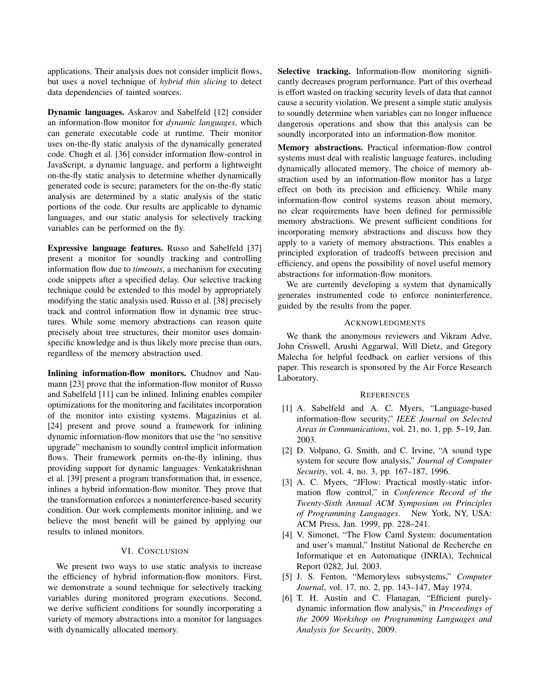applications. Their analysis does not consider implicit flows, but uses a novel technique of *hybrid thin slicing* to detect data dependencies of tainted sources.

Dynamic languages. Askarov and Sabelfeld [12] consider an information-flow monitor for *dynamic languages*, which can generate executable code at runtime. Their monitor uses on-the-fly static analysis of the dynamically generated code. Chugh et al. [36] consider information flow-control in JavaScript, a dynamic language, and perform a lightweight on-the-fly static analysis to determine whether dynamically generated code is secure; parameters for the on-the-fly static analysis are determined by a static analysis of the static portions of the code. Our results are applicable to dynamic languages, and our static analysis for selectively tracking variables can be performed on the fly.

Expressive language features. Russo and Sabelfeld [37] present a monitor for soundly tracking and controlling information flow due to *timeouts*, a mechanism for executing code snippets after a specified delay. Our selective tracking technique could be extended to this model by appropriately modifying the static analysis used. Russo et al. [38] precisely track and control information flow in dynamic tree structures. While some memory abstractions can reason quite precisely about tree structures, their monitor uses domainspecific knowledge and is thus likely more precise than ours, regardless of the memory abstraction used.

Inlining information-flow monitors. Chudnov and Naumann [23] prove that the information-flow monitor of Russo and Sabelfeld [11] can be inlined. Inlining enables compiler optimizations for the monitoring and facilitates incorporation of the monitor into existing systems. Magazinius et al. [24] present and prove sound a framework for inlining dynamic information-flow monitors that use the "no sensitive upgrade" mechanism to soundly control implicit information flows. Their framework permits on-the-fly inlining, thus providing support for dynamic languages. Venkatakrishnan et al. [39] present a program transformation that, in essence, inlines a hybrid information-flow monitor. They prove that the transformation enforces a noninterference-based security condition. Our work complements monitor inlining, and we believe the most benefit will be gained by applying our results to inlined monitors.

## VI. CONCLUSION

We present two ways to use static analysis to increase the efficiency of hybrid information-flow monitors. First, we demonstrate a sound technique for selectively tracking variables during monitored program executions. Second, we derive sufficient conditions for soundly incorporating a variety of memory abstractions into a monitor for languages with dynamically allocated memory.

Selective tracking. Information-flow monitoring significantly decreases program performance. Part of this overhead is effort wasted on tracking security levels of data that cannot cause a security violation. We present a simple static analysis to soundly determine when variables can no longer influence dangerous operations and show that this analysis can be soundly incorporated into an information-flow monitor.

Memory abstractions. Practical information-flow control systems must deal with realistic language features, including dynamically allocated memory. The choice of memory abstraction used by an information-flow monitor has a large effect on both its precision and efficiency. While many information-flow control systems reason about memory, no clear requirements have been defined for permissible memory abstractions. We present sufficient conditions for incorporating memory abstractions and discuss how they apply to a variety of memory abstractions. This enables a principled exploration of tradeoffs between precision and efficiency, and opens the possibility of novel useful memory abstractions for information-flow monitors.

We are currently developing a system that dynamically generates instrumented code to enforce noninterference, guided by the results from the paper.

## ACKNOWLEDGMENTS

We thank the anonymous reviewers and Vikram Adve, John Criswell, Arushi Aggarwal, Will Dietz, and Gregory Malecha for helpful feedback on earlier versions of this paper. This research is sponsored by the Air Force Research Laboratory.

#### **REFERENCES**

- [1] A. Sabelfeld and A. C. Myers, "Language-based information-flow security," *IEEE Journal on Selected Areas in Communications*, vol. 21, no. 1, pp. 5–19, Jan. 2003.
- [2] D. Volpano, G. Smith, and C. Irvine, "A sound type system for secure flow analysis," *Journal of Computer Security*, vol. 4, no. 3, pp. 167–187, 1996.
- [3] A. C. Myers, "JFlow: Practical mostly-static information flow control," in *Conference Record of the Twenty-Sixth Annual ACM Symposium on Principles of Programming Languages*. New York, NY, USA: ACM Press, Jan. 1999, pp. 228–241.
- [4] V. Simonet, "The Flow Caml System: documentation and user's manual," Institut National de Recherche en Informatique et en Automatique (INRIA), Technical Report 0282, Jul. 2003.
- [5] J. S. Fenton, "Memoryless subsystems," *Computer Journal*, vol. 17, no. 2, pp. 143–147, May 1974.
- [6] T. H. Austin and C. Flanagan, "Efficient purelydynamic information flow analysis," in *Proceedings of the 2009 Workshop on Programming Languages and Analysis for Security*, 2009.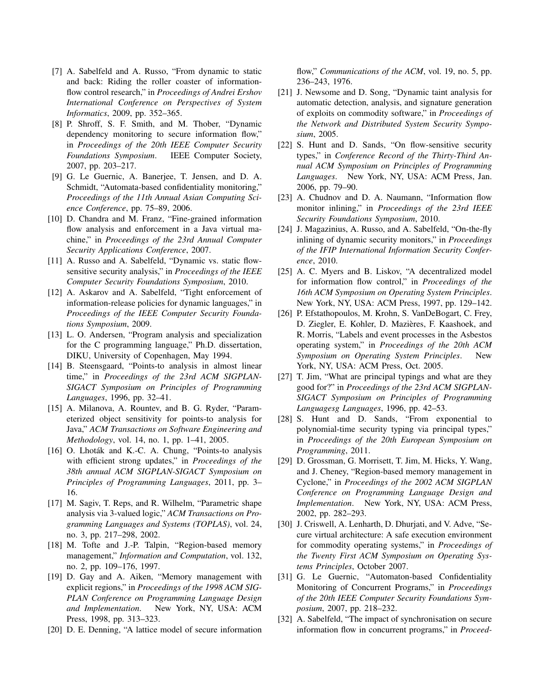- [7] A. Sabelfeld and A. Russo, "From dynamic to static and back: Riding the roller coaster of informationflow control research," in *Proceedings of Andrei Ershov International Conference on Perspectives of System Informatics*, 2009, pp. 352–365.
- [8] P. Shroff, S. F. Smith, and M. Thober, "Dynamic dependency monitoring to secure information flow," in *Proceedings of the 20th IEEE Computer Security Foundations Symposium*. IEEE Computer Society, 2007, pp. 203–217.
- [9] G. Le Guernic, A. Banerjee, T. Jensen, and D. A. Schmidt, "Automata-based confidentiality monitoring," *Proceedings of the 11th Annual Asian Computing Science Conference*, pp. 75–89, 2006.
- [10] D. Chandra and M. Franz, "Fine-grained information flow analysis and enforcement in a Java virtual machine," in *Proceedings of the 23rd Annual Computer Security Applications Conference*, 2007.
- [11] A. Russo and A. Sabelfeld, "Dynamic vs. static flowsensitive security analysis," in *Proceedings of the IEEE Computer Security Foundations Symposium*, 2010.
- [12] A. Askarov and A. Sabelfeld, "Tight enforcement of information-release policies for dynamic languages," in *Proceedings of the IEEE Computer Security Foundations Symposium*, 2009.
- [13] L. O. Andersen, "Program analysis and specialization for the C programming language," Ph.D. dissertation, DIKU, University of Copenhagen, May 1994.
- [14] B. Steensgaard, "Points-to analysis in almost linear time," in *Proceedings of the 23rd ACM SIGPLAN-SIGACT Symposium on Principles of Programming Languages*, 1996, pp. 32–41.
- [15] A. Milanova, A. Rountev, and B. G. Ryder, "Parameterized object sensitivity for points-to analysis for Java," *ACM Transactions on Software Engineering and Methodology*, vol. 14, no. 1, pp. 1–41, 2005.
- [16] O. Lhoták and K.-C. A. Chung, "Points-to analysis with efficient strong updates," in *Proceedings of the 38th annual ACM SIGPLAN-SIGACT Symposium on Principles of Programming Languages*, 2011, pp. 3– 16.
- [17] M. Sagiv, T. Reps, and R. Wilhelm, "Parametric shape analysis via 3-valued logic," *ACM Transactions on Programming Languages and Systems (TOPLAS)*, vol. 24, no. 3, pp. 217–298, 2002.
- [18] M. Tofte and J.-P. Talpin, "Region-based memory management," *Information and Computation*, vol. 132, no. 2, pp. 109–176, 1997.
- [19] D. Gay and A. Aiken, "Memory management with explicit regions," in *Proceedings of the 1998 ACM SIG-PLAN Conference on Programming Language Design and Implementation*. New York, NY, USA: ACM Press, 1998, pp. 313–323.
- [20] D. E. Denning, "A lattice model of secure information

flow," *Communications of the ACM*, vol. 19, no. 5, pp. 236–243, 1976.

- [21] J. Newsome and D. Song, "Dynamic taint analysis for automatic detection, analysis, and signature generation of exploits on commodity software," in *Proceedings of the Network and Distributed System Security Symposium*, 2005.
- [22] S. Hunt and D. Sands, "On flow-sensitive security types," in *Conference Record of the Thirty-Third Annual ACM Symposium on Principles of Programming Languages*. New York, NY, USA: ACM Press, Jan. 2006, pp. 79–90.
- [23] A. Chudnov and D. A. Naumann, "Information flow monitor inlining," in *Proceedings of the 23rd IEEE Security Foundations Symposium*, 2010.
- [24] J. Magazinius, A. Russo, and A. Sabelfeld, "On-the-fly inlining of dynamic security monitors," in *Proceedings of the IFIP International Information Security Conference*, 2010.
- [25] A. C. Myers and B. Liskov, "A decentralized model for information flow control," in *Proceedings of the 16th ACM Symposium on Operating System Principles*. New York, NY, USA: ACM Press, 1997, pp. 129–142.
- [26] P. Efstathopoulos, M. Krohn, S. VanDeBogart, C. Frey, D. Ziegler, E. Kohler, D. Mazières, F. Kaashoek, and R. Morris, "Labels and event processes in the Asbestos operating system," in *Proceedings of the 20th ACM Symposium on Operating System Principles*. New York, NY, USA: ACM Press, Oct. 2005.
- [27] T. Jim, "What are principal typings and what are they good for?" in *Proceedings of the 23rd ACM SIGPLAN-SIGACT Symposium on Principles of Programming Languagesg Languages*, 1996, pp. 42–53.
- [28] S. Hunt and D. Sands, "From exponential to polynomial-time security typing via principal types," in *Proceedings of the 20th European Symposium on Programming*, 2011.
- [29] D. Grossman, G. Morrisett, T. Jim, M. Hicks, Y. Wang, and J. Cheney, "Region-based memory management in Cyclone," in *Proceedings of the 2002 ACM SIGPLAN Conference on Programming Language Design and Implementation*. New York, NY, USA: ACM Press, 2002, pp. 282–293.
- [30] J. Criswell, A. Lenharth, D. Dhurjati, and V. Adve, "Secure virtual architecture: A safe execution environment for commodity operating systems," in *Proceedings of the Twenty First ACM Symposium on Operating Systems Principles*, October 2007.
- [31] G. Le Guernic, "Automaton-based Confidentiality Monitoring of Concurrent Programs," in *Proceedings of the 20th IEEE Computer Security Foundations Symposium*, 2007, pp. 218–232.
- [32] A. Sabelfeld, "The impact of synchronisation on secure information flow in concurrent programs," in *Proceed-*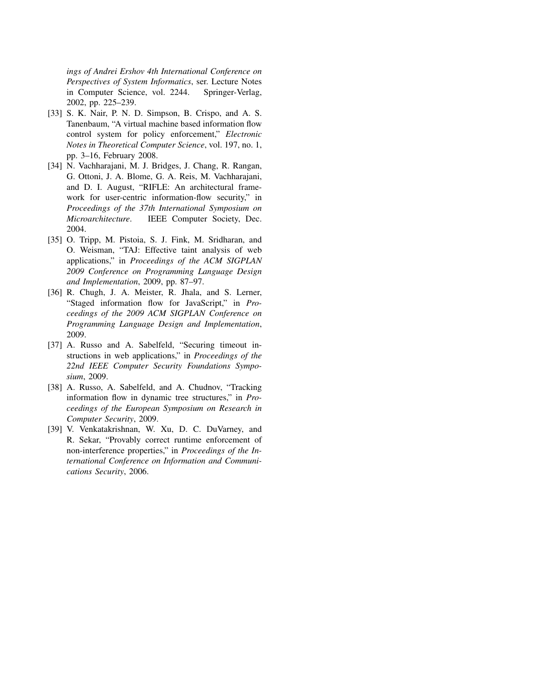*ings of Andrei Ershov 4th International Conference on Perspectives of System Informatics*, ser. Lecture Notes in Computer Science, vol. 2244. Springer-Verlag, 2002, pp. 225–239.

- [33] S. K. Nair, P. N. D. Simpson, B. Crispo, and A. S. Tanenbaum, "A virtual machine based information flow control system for policy enforcement," *Electronic Notes in Theoretical Computer Science*, vol. 197, no. 1, pp. 3–16, February 2008.
- [34] N. Vachharajani, M. J. Bridges, J. Chang, R. Rangan, G. Ottoni, J. A. Blome, G. A. Reis, M. Vachharajani, and D. I. August, "RIFLE: An architectural framework for user-centric information-flow security," in *Proceedings of the 37th International Symposium on Microarchitecture*. IEEE Computer Society, Dec. 2004.
- [35] O. Tripp, M. Pistoia, S. J. Fink, M. Sridharan, and O. Weisman, "TAJ: Effective taint analysis of web applications," in *Proceedings of the ACM SIGPLAN 2009 Conference on Programming Language Design and Implementation*, 2009, pp. 87–97.
- [36] R. Chugh, J. A. Meister, R. Jhala, and S. Lerner, "Staged information flow for JavaScript," in *Proceedings of the 2009 ACM SIGPLAN Conference on Programming Language Design and Implementation*, 2009.
- [37] A. Russo and A. Sabelfeld, "Securing timeout instructions in web applications," in *Proceedings of the 22nd IEEE Computer Security Foundations Symposium*, 2009.
- [38] A. Russo, A. Sabelfeld, and A. Chudnov, "Tracking information flow in dynamic tree structures," in *Proceedings of the European Symposium on Research in Computer Security*, 2009.
- [39] V. Venkatakrishnan, W. Xu, D. C. DuVarney, and R. Sekar, "Provably correct runtime enforcement of non-interference properties," in *Proceedings of the International Conference on Information and Communications Security*, 2006.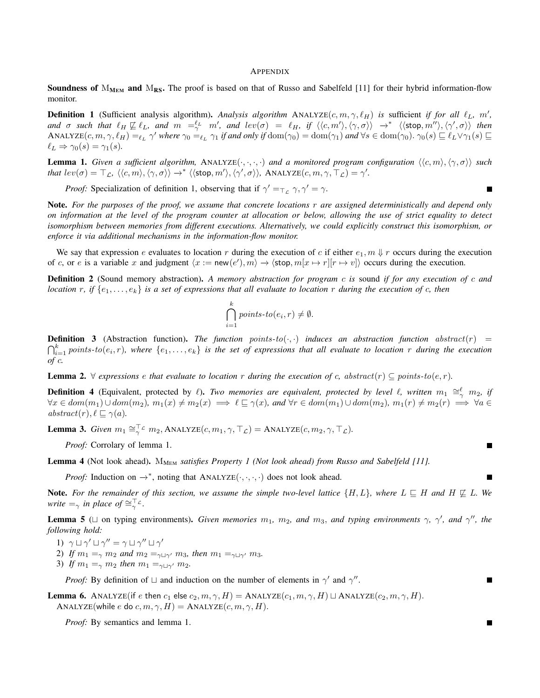#### APPENDIX

**Soundness of**  $M_{MEM}$  and  $M_{RS}$ . The proof is based on that of Russo and Sabelfeld [11] for their hybrid information-flow monitor.

**Definition 1** (Sufficient analysis algorithm). Analysis algorithm ANALYZE $(c, m, \gamma, \ell_H)$  is sufficient *if for all*  $\ell_L$ , m', and  $\sigma$  such that  $\ell_H \not\sqsubseteq \ell_L$ , and  $m' =_{\gamma}^{\ell_L} m'$ , and  $lev(\sigma) = \ell_H$ , if  $\langle\langle c, m'\rangle, \langle \gamma, \sigma\rangle\rangle \rightarrow^* \langle\langle \textsf{stop}, m''\rangle, \langle \gamma', \sigma\rangle\rangle$  then  $\Delta$ NALYZE $(c, m, \gamma, \ell_H) =_{\ell_L} \gamma'$  where  $\gamma_0 =_{\ell_L} \gamma_1$  if and only if  $\text{dom}(\gamma_0) = \text{dom}(\gamma_1)$  and  $\forall s \in \text{dom}(\gamma_0)$ .  $\gamma_0(s) \sqsubseteq \ell_L \vee \gamma_1(s) \sqsubseteq$  $\ell_L \Rightarrow \gamma_0(s) = \gamma_1(s)$ .

**Lemma 1.** *Given a sufficient algorithm,* ANALYZE $(\cdot, \cdot, \cdot, \cdot)$  *and a monitored program configuration*  $\langle \langle c, m \rangle, \langle \gamma, \sigma \rangle \rangle$  *such*  ${\it that~} lev(\sigma) = \top_{\mathcal{L}},~ \langle \langle c,m \rangle, \langle \gamma, \sigma \rangle \rangle \rightarrow^{*} \langle \langle \textsf{stop}, m' \rangle, \langle \gamma', \sigma \rangle \rangle, ~\text{ANALYZE}(c, m, \gamma, \top_{\mathcal{L}}) = \gamma'.$ 

*Proof:* Specialization of definition 1, observing that if  $\gamma' = \gamma$ ,  $\gamma' = \gamma$ .

Note. *For the purposes of the proof, we assume that concrete locations* r *are assigned deterministically and depend only on information at the level of the program counter at allocation or below, allowing the use of strict equality to detect isomorphism between memories from different executions. Alternatively, we could explicitly construct this isomorphism, or enforce it via additional mechanisms in the information-flow monitor.*

We say that expression e evaluates to location r during the execution of c if either  $e_1$ ,  $m \Downarrow r$  occurs during the execution of c, or e is a variable x and judgment  $\langle x := \text{new}(e'), m \rangle \to \langle \text{stop}, m[x \mapsto r][r \mapsto v] \rangle$  occurs during the execution.

Definition 2 (Sound memory abstraction). *A memory abstraction for program* c *is* sound *if for any execution of* c *and location* r*, if* {e1, . . . , ek} *is a set of expressions that all evaluate to location* r *during the execution of* c*, then*

$$
\bigcap_{i=1}^{k} points\text{-}to(e_i,r)\neq\emptyset.
$$

**Definition 3** (Abstraction function). The function points- $to(\cdot,\cdot)$  induces an abstraction function abstract(r) =  $\bigcap_{i=1}^k$  points-to $(e_i,r)$ , where  $\{e_1,\ldots,e_k\}$  is the set of expressions that all evaluate to location r during the execution *of* c*.*

**Lemma 2.**  $\forall$  expressions e that evaluate to location r during the execution of c, abstract(r)  $\subseteq$  points-to(e, r).

**Definition 4** (Equivalent, protected by  $\ell$ ). *Two memories are equivalent, protected by level*  $\ell$ *, written*  $m_1 \cong_{\gamma}^{\ell} m_2$ *, if*  $\forall x \in dom(m_1) \cup dom(m_2), m_1(x) \neq m_2(x) \implies \ell \sqsubseteq \gamma(x), \text{ and } \forall r \in dom(m_1) \cup dom(m_2), m_1(r) \neq m_2(r) \implies \forall a \in \ell$  $abstruct(r), \ell \sqsubseteq \gamma(a).$ 

**Lemma 3.** *Given*  $m_1 \cong_{\gamma}^{\top} c$   $m_2$ ,  $\text{ANALYZE}(c, m_1, \gamma, \top_c) = \text{ANALYZE}(c, m_2, \gamma, \top_c)$ .

*Proof:* Corrolary of lemma 1.

Lemma 4 (Not look ahead). M<sub>MEM</sub> satisfies Property 1 (Not look ahead) from Russo and Sabelfeld [11].

*Proof:* Induction on  $\rightarrow^*$ , noting that ANALYZE( $\cdot, \cdot, \cdot, \cdot$ ) does not look ahead.

**Note.** For the remainder of this section, we assume the simple two-level lattice  $\{H, L\}$ , where  $L \subseteq H$  and  $H \not\subseteq L$ . We *write*  $=$ <sub> $\gamma$ </sub> *in place of*  $\cong$ <sup> $\top$ </sup> $\subset$ .

**Lemma 5** ( $\sqcup$  on typing environments). *Given memories*  $m_1$ ,  $m_2$ , and  $m_3$ , and typing environments  $\gamma$ ,  $\gamma'$ , and  $\gamma''$ , the *following hold:*

- 1)  $\gamma \sqcup \gamma' \sqcup \gamma'' = \gamma \sqcup \gamma'' \sqcup \gamma'$
- 2) *If*  $m_1 =_\gamma m_2$  *and*  $m_2 =_{\gamma \sqcup \gamma'} m_3$ *, then*  $m_1 =_{\gamma \sqcup \gamma'} m_3$ *.*
- 3) *If*  $m_1 =_\gamma m_2$  *then*  $m_1 =_{\gamma \sqcup \gamma'} m_2$ *.*

*Proof:* By definition of  $\sqcup$  and induction on the number of elements in  $\gamma'$  and  $\gamma''$ .

**Lemma 6.** ANALYZE(if e then  $c_1$  else  $c_2, m, \gamma, H$ ) = ANALYZE( $c_1, m, \gamma, H$ )  $\sqcup$  ANALYZE( $c_2, m, \gamma, H$ ). ANALYZE(while e do c, m,  $\gamma$ , H) = ANALYZE(c, m,  $\gamma$ , H).

*Proof:* By semantics and lemma 1.

П

П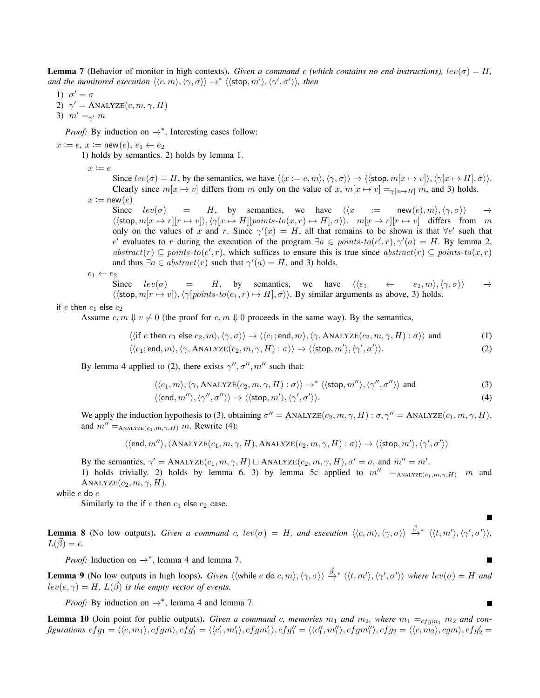**Lemma** 7 (Behavior of monitor in high contexts). *Given a command c (which contains no end instructions),*  $lev(\sigma) = H$ , *and the monitored execution*  $\langle\langle c,m\rangle,\langle\gamma,\sigma\rangle\rangle \rightarrow^* \langle\langle \mathsf{stop}, m'\rangle,\langle\gamma',\sigma'\rangle\rangle$ , then

1)  $\sigma' = \sigma$ 2)  $\gamma' = \text{ANALYZE}(c, m, \gamma, H)$ 3)  $m' = \gamma m$ 

*Proof:* By induction on  $\rightarrow^*$ . Interesting cases follow:

 $x := e, x := new(e), e_1 \leftarrow e_2$ 

1) holds by semantics. 2) holds by lemma 1.

 $x := e$ 

Since  $lev(\sigma) = H$ , by the semantics, we have  $\langle\langle x := e, m \rangle, \langle \gamma, \sigma \rangle\rangle \rightarrow \langle \langle \mathsf{stop}, m[x \mapsto v] \rangle, \langle \gamma[x \mapsto H], \sigma \rangle\rangle$ . Clearly since  $m[x \mapsto v]$  differs from m only on the value of x,  $m[x \mapsto v] =_{\gamma[x \mapsto H]} m$ , and 3) holds.  $x := new(e)$ 

Since  $lev(\sigma)$  = H, by semantics, we have  $\langle\langle x \rangle := \text{new}(e), m\rangle, \langle \gamma, \sigma \rangle \rangle \rightarrow$  $\langle \langle \text{stop}, m[x \mapsto r][r \mapsto v] \rangle, \langle \gamma[x \mapsto H][points-to(x, r) \mapsto H], \sigma \rangle \rangle$ .  $m[x \mapsto r][r \mapsto v]$  differs from m only on the values of x and r. Since  $\gamma'(x) = H$ , all that remains to be shown is that  $\forall e'$  such that e' evaluates to r during the execution of the program  $\exists a \in points-to(e', r), \gamma'(a) = H$ . By lemma 2, abstract(r)  $\subseteq$  points-to(e', r), which suffices to ensure this is true since abstract(r)  $\subseteq$  points-to(x, r) and thus  $\exists a \in abstract(r)$  such that  $\gamma'(a) = H$ , and 3) holds.

$$
e_1 \leftarrow e_2
$$

Since  $lev(\sigma)$  = H, by semantics, we have  $\langle\langle e_1 \rangle \langle \sigma_1 \rangle \langle \sigma_2 \rangle \langle \sigma_2 \rangle \rangle \rightarrow$  $\langle \langle \text{stop}, m[r \rightarrow v] \rangle, \langle \gamma | points-to(e_1, r) \mapsto H, \sigma \rangle \rangle$ . By similar arguments as above, 3) holds.

## if e then  $c_1$  else  $c_2$

Assume  $e, m \Downarrow v \neq 0$  (the proof for  $e, m \Downarrow 0$  proceeds in the same way). By the semantics,

$$
\langle\langle \text{if } e \text{ then } c_1 \text{ else } c_2, m \rangle, \langle \gamma, \sigma \rangle\rangle \to \langle\langle c_1; \text{end}, m \rangle, \langle \gamma, \text{ANALYZE}(c_2, m, \gamma, H) : \sigma \rangle\rangle \text{ and } (1)
$$

$$
\langle \langle c_1; \text{end}, m \rangle, \langle \gamma, \text{ANALYZE}(c_2, m, \gamma, H) : \sigma \rangle \rangle \rightarrow \langle \langle \text{stop}, m' \rangle, \langle \gamma', \sigma' \rangle \rangle. \tag{2}
$$

By lemma 4 applied to (2), there exists  $\gamma'', \sigma'', m''$  such that:

$$
\langle \langle c_1, m \rangle, \langle \gamma, \text{ANALYZE}(c_2, m, \gamma, H) : \sigma \rangle \rangle \to^* \langle \langle \text{stop}, m'' \rangle, \langle \gamma'', \sigma'' \rangle \rangle \text{ and } \tag{3}
$$

$$
\langle \langle \text{end}, m'' \rangle, \langle \gamma'', \sigma'' \rangle \rangle \to \langle \langle \text{stop}, m' \rangle, \langle \gamma', \sigma' \rangle \rangle. \tag{4}
$$

П

 $\blacksquare$ 

We apply the induction hypothesis to (3), obtaining  $\sigma'' =$  ANALYZE $(c_2, m, \gamma, H) : \sigma, \gamma'' =$  ANALYZE $(c_1, m, \gamma, H)$ , and  $m'' =_{ANALYZE(c_1,m,\gamma,H)} m$ . Rewrite (4):

$$
\langle \langle \text{end}, m'' \rangle, \langle \text{ANALYZE}(c_1, m, \gamma, H), \text{ANALYZE}(c_2, m, \gamma, H) : \sigma \rangle \rangle \rightarrow \langle \langle \text{stop}, m' \rangle, \langle \gamma', \sigma' \rangle \rangle
$$

By the semantics,  $\gamma' = \text{ANALYZE}(c_1, m, \gamma, H) \sqcup \text{ANALYZE}(c_2, m, \gamma, H), \sigma' = \sigma$ , and  $m'' = m'.$ 

1) holds trivially. 2) holds by lemma 6. 3) by lemma 5c applied to  $m'' = A_{\text{NALYZE}}(c_1, m, \gamma, H)$  m and  $\text{ANALYZE}(c_2, m, \gamma, H).$ 

while e do c

Similarly to the if  $e$  then  $c_1$  else  $c_2$  case.

**Lemma 8** (No low outputs). *Given a command c, lev*( $\sigma$ ) = H, and execution  $\langle\langle c,m\rangle, \langle \gamma, \sigma \rangle\rangle \stackrel{\vec{\beta}}{\rightarrow}^* \langle\langle t,m'\rangle, \langle \gamma', \sigma' \rangle\rangle$ ,  $L(\vec{\beta}) = \epsilon.$ 

*Proof:* Induction on  $\rightarrow^*$ , lemma 4 and lemma 7.

**Lemma 9** (No low outputs in high loops). *Given*  $\langle\langle$ while e do c, m $\rangle$ ,  $\langle\gamma,\sigma\rangle\rangle \stackrel{\vec{\beta}}{\rightarrow}^* \langle\langle t,m'\rangle,\langle\gamma',\sigma'\rangle\rangle$  where  $lev(\sigma) = H$  and  $lev(e, \gamma) = H$ ,  $L(\vec{\beta})$  *is the empty vector of events.* 

*Proof:* By induction on  $\rightarrow^*$ , lemma 4 and lemma 7.

**Lemma 10** (Join point for public outputs). *Given a command c, memories*  $m_1$  *and*  $m_2$ *, where*  $m_1 =_{cfgm_1} m_2$  *and con* $figurations \ cfg_1 = \langle \langle c, m_1\rangle, cfgm\rangle, cfg_1' = \langle \langle c_1', m_1'\rangle, cfgm_1'\rangle, cfg_1'' = \langle \langle c_1'', m_1''\rangle, cfgm_1''\rangle, cfg_2 = \langle \langle c, m_2\rangle, cgn\rangle, cfg_2' = \langle \langle c, m_1\rangle, cfgm_1''\rangle, cfg_2' = \langle \langle c, m_2\rangle, cgn\rangle, cfg_2' = \langle \langle c, m_2\rangle, cgn\rangle, cfg_2' = \langle \langle c, m_2\rangle, cgn\rangle, cfg_2' = \langle \langle c, m_2\rangle,$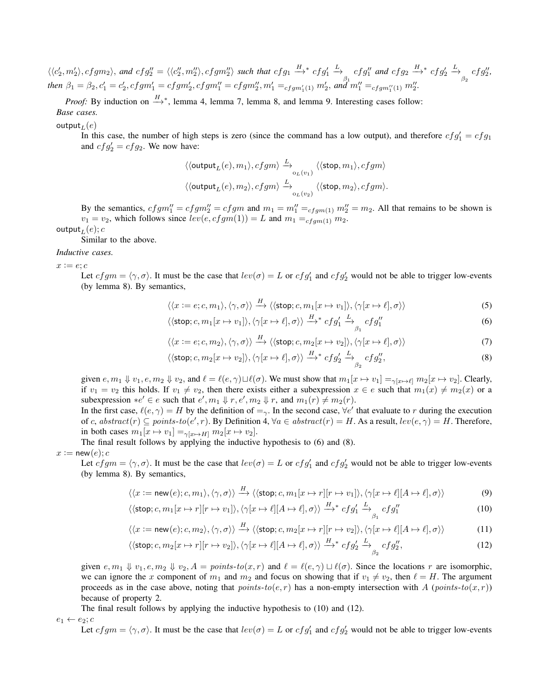$\langle\langle c_2',m_2'\rangle, cfgm_2\rangle$ , and  $cfg_2''=\langle\langle c_2'',m_2''\rangle, cfgm_2''\rangle$  such that  $cfg_1 \stackrel{H}{\longrightarrow}^* cfg_1'$  $\stackrel{L}{\longrightarrow}$  cfg'' and cfg<sub>2</sub>  $\stackrel{H}{\longrightarrow}$ <sup>\*</sup> cfg'<sub>2</sub>  $\begin{aligned} \text{then } \beta_1 = \beta_2, c_1' = c_2', cfgm_1' = cfgm_2', cfgm_1'' = cfgm_2'', m_1' =_{cfgm_1'(1)} m_2', \text{ and } m_1'' =_{cfgm_1''(1)} m_2''. \end{aligned}$  $\stackrel{L}{\rightarrow}_{\beta_2} cfg_2'',$ 

*Proof:* By induction on  $\stackrel{H}{\longrightarrow}^*$ , lemma 4, lemma 7, lemma 8, and lemma 9. Interesting cases follow: *Base cases.*

output<sub>L</sub> $(e)$ 

In this case, the number of high steps is zero (since the command has a low output), and therefore  $cfg_1' = cfg_1$ and  $cfg'_2 = cfg_2$ . We now have:

$$
\begin{aligned} &\langle \langle \textsf{output}_L(e), m_1 \rangle, cfgm \rangle \xrightarrow{\quad} \langle \langle \textsf{stop}, m_1 \rangle, cfgm \rangle \\ &\langle \langle \textsf{output}_L(e), m_2 \rangle, cfgm \rangle \xrightarrow{\quad} \langle \langle \textsf{stop}, m_2 \rangle, cfgm \rangle. \end{aligned}
$$

By the semantics,  $cfgm''_1 = cfgm''_2 = cfgm$  and  $m_1 = m''_1 =_{cfgm(1)} m''_2 = m_2$ . All that remains to be shown is  $v_1 = v_2$ , which follows since  $lev(e, cfgm(1)) = L$  and  $m_1 =_{cfgm(1)} m_2$ .

output  $_L(e); c$ 

Similar to the above.

## *Inductive cases.*

 $x := e$ ; c

Let  $cfgm = \langle \gamma, \sigma \rangle$ . It must be the case that  $lev(\sigma) = L$  or  $cfg_1'$  and  $cfg_2'$  would not be able to trigger low-events (by lemma 8). By semantics,

$$
\langle\langle x:=e;c,m_1\rangle,\langle\gamma,\sigma\rangle\rangle \xrightarrow{H} \langle\langle \textsf{stop};c,m_1[x \mapsto v_1]\rangle,\langle\gamma[x \mapsto \ell],\sigma\rangle\rangle
$$
 (5)

$$
\langle \langle \text{stop}; c, m_1[x \mapsto v_1] \rangle, \langle \gamma[x \mapsto \ell], \sigma \rangle \rangle \xrightarrow{H}^* cfg'_1 \xrightarrow{L} cfg''_1
$$
 (6)

$$
\langle\langle x:=e;c,m_2\rangle,\langle\gamma,\sigma\rangle\rangle \xrightarrow{H} \langle\langle \text{stop};c,m_2[x \mapsto v_2]\rangle,\langle\gamma[x \mapsto \ell],\sigma\rangle\rangle
$$
 (7)

$$
\langle \langle \text{stop}; c, m_2[x \mapsto v_2] \rangle, \langle \gamma[x \mapsto \ell], \sigma \rangle \rangle \stackrel{H}{\longrightarrow} ^* cfg'_2 \stackrel{L}{\longrightarrow}_{\beta_2} cfg''_2,\tag{8}
$$

given  $e, m_1 \Downarrow v_1, e, m_2 \Downarrow v_2$ , and  $\ell = \ell(e, \gamma) \sqcup \ell(\sigma)$ . We must show that  $m_1[x \mapsto v_1] =_{\gamma[x \mapsto \ell]} m_2[x \mapsto v_2]$ . Clearly, if  $v_1 = v_2$  this holds. If  $v_1 \neq v_2$ , then there exists either a subexpression  $x \in e$  such that  $m_1(x) \neq m_2(x)$  or a subexpression  $\ast e' \in e$  such that  $e', m_1 \Downarrow r, e', m_2 \Downarrow r$ , and  $m_1(r) \neq m_2(r)$ .

In the first case,  $\ell(e, \gamma) = H$  by the definition of  $=_{\gamma}$ . In the second case,  $\forall e'$  that evaluate to r during the execution of c, abstract $(r) \subseteq points-to(e', r)$ . By Definition 4,  $\forall a \in abstract(r) = H$ . As a result,  $lev(e, \gamma) = H$ . Therefore, in both cases  $m_1[x \mapsto v_1] =_{\gamma[x \mapsto H]} m_2[x \mapsto v_2]$ .

The final result follows by applying the inductive hypothesis to (6) and (8).

$$
x:=\mathsf{new}(e);c
$$

Let  $cfgm = \langle \gamma, \sigma \rangle$ . It must be the case that  $lev(\sigma) = L$  or  $cfg_1'$  and  $cfg_2'$  would not be able to trigger low-events (by lemma 8). By semantics,

$$
\langle\langle x:=\mathsf{new}(e);c,m_1\rangle,\langle\gamma,\sigma\rangle\rangle\xrightarrow{H}\langle\langle\mathsf{stop};c,m_1[x\mapsto r][r\mapsto v_1]\rangle,\langle\gamma[x\mapsto \ell][A\mapsto \ell],\sigma\rangle\rangle\tag{9}
$$

$$
\langle \langle \text{stop}; c, m_1[x \mapsto r][r \mapsto v_1] \rangle, \langle \gamma[x \mapsto \ell][A \mapsto \ell], \sigma \rangle \rangle \xrightarrow{H}^{*} cfg'_1 \xrightarrow{L} cfg''_1
$$
 (10)

$$
\langle\langle x:=\mathsf{new}(e);c,m_2\rangle,\langle\gamma,\sigma\rangle\rangle \xrightarrow{H} \langle\langle\mathsf{stop};c,m_2[x\mapsto r][r\mapsto v_2]\rangle,\langle\gamma[x\mapsto \ell][A\mapsto \ell],\sigma\rangle\rangle\tag{11}
$$

$$
\langle \langle \text{stop}; c, m_2[x \mapsto r][r \mapsto v_2] \rangle, \langle \gamma[x \mapsto \ell][A \mapsto \ell], \sigma \rangle \rangle \xrightarrow{H}^* cfg'_2 \xrightarrow{L} _{\beta_2} cfg''_2,\tag{12}
$$

given  $e, m_1 \Downarrow v_1, e, m_2 \Downarrow v_2, A = points-to(x, r)$  and  $\ell = \ell(e, \gamma) \sqcup \ell(\sigma)$ . Since the locations r are isomorphic, we can ignore the x component of  $m_1$  and  $m_2$  and focus on showing that if  $v_1 \neq v_2$ , then  $\ell = H$ . The argument proceeds as in the case above, noting that points-to(e, r) has a non-empty intersection with A (points-to(x, r)) because of property 2.

The final result follows by applying the inductive hypothesis to (10) and (12).

 $e_1 \leftarrow e_2$ ; c

Let  $cfgm = \langle \gamma, \sigma \rangle$ . It must be the case that  $lev(\sigma) = L$  or  $cfg_1'$  and  $cfg_2'$  would not be able to trigger low-events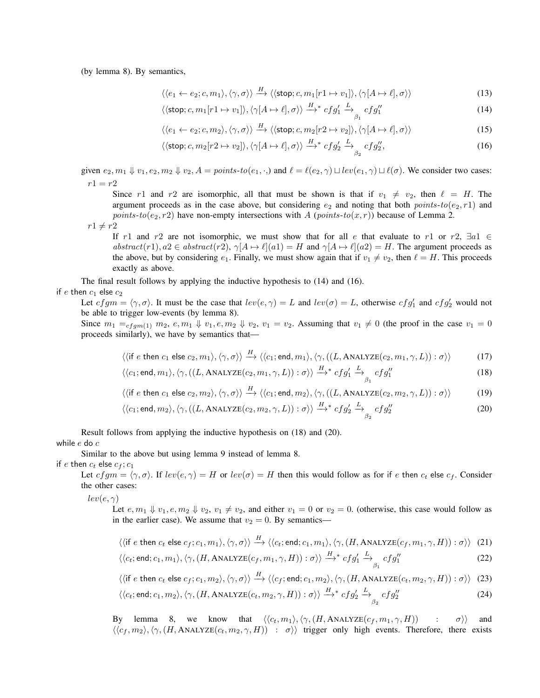(by lemma 8). By semantics,

$$
\langle \langle e_1 \leftarrow e_2; c, m_1 \rangle, \langle \gamma, \sigma \rangle \rangle \xrightarrow{H} \langle \langle \textsf{stop}; c, m_1[r1 \mapsto v_1] \rangle, \langle \gamma[A \mapsto \ell], \sigma \rangle \rangle \tag{13}
$$

$$
\langle \langle \text{stop}; c, m_1[r1 \mapsto v_1] \rangle, \langle \gamma[A \mapsto \ell], \sigma \rangle \rangle \xrightarrow{H}^* cfg'_1 \xrightarrow{L} cfg''_1
$$
 (14)

$$
\langle \langle e_1 \leftarrow e_2; c, m_2 \rangle, \langle \gamma, \sigma \rangle \rangle \xrightarrow{H} \langle \langle \text{stop}; c, m_2[r2 \mapsto v_2] \rangle, \langle \gamma[A \mapsto \ell], \sigma \rangle \rangle \tag{15}
$$

$$
\langle \langle \text{stop}; c, m_2[r2 \mapsto v_2] \rangle, \langle \gamma[A \mapsto \ell], \sigma \rangle \rangle \xrightarrow{H}^* cfg'_2 \xrightarrow{L} cfg''_2, \tag{16}
$$

given  $e_2, m_1 \Downarrow v_1, e_2, m_2 \Downarrow v_2, A = points-to(e_1, \cdot)$  and  $\ell = \ell(e_2, \gamma) \sqcup lev(e_1, \gamma) \sqcup \ell(\sigma)$ . We consider two cases:  $r1 = r2$ 

Since r1 and r2 are isomorphic, all that must be shown is that if  $v_1 \neq v_2$ , then  $\ell = H$ . The argument proceeds as in the case above, but considering  $e_2$  and noting that both points-to( $e_2$ , r1) and points-to( $e_2$ , r2) have non-empty intersections with A (points-to(x, r)) because of Lemma 2.

 $r1 \neq r2$ 

If r1 and r2 are not isomorphic, we must show that for all e that evaluate to r1 or r2,  $\exists a1 \in$ abstract(r1),  $a2 \in abstract(r2)$ ,  $\gamma[A \mapsto \ell](a1) = H$  and  $\gamma[A \mapsto \ell](a2) = H$ . The argument proceeds as the above, but by considering  $e_1$ . Finally, we must show again that if  $v_1 \neq v_2$ , then  $\ell = H$ . This proceeds exactly as above.

The final result follows by applying the inductive hypothesis to (14) and (16).

if e then  $c_1$  else  $c_2$ 

Let  $cfgm = \langle \gamma, \sigma \rangle$ . It must be the case that  $lev(e, \gamma) = L$  and  $lev(\sigma) = L$ , otherwise  $cfg_1'$  and  $cfg_2'$  would not be able to trigger low-events (by lemma 8).

Since  $m_1 =_{cf qm(1)} m_2, e, m_1 \Downarrow v_1, e, m_2 \Downarrow v_2, v_1 = v_2$ . Assuming that  $v_1 \neq 0$  (the proof in the case  $v_1 = 0$ proceeds similarly), we have by semantics that—

$$
\langle \langle \text{if } e \text{ then } c_1 \text{ else } c_2, m_1 \rangle, \langle \gamma, \sigma \rangle \rangle \xrightarrow{H} \langle \langle c_1; \text{end}, m_1 \rangle, \langle \gamma, ((L, \text{ANALYZE}(c_2, m_1, \gamma, L)) : \sigma \rangle \rangle \tag{17}
$$

$$
\langle \langle c_1; \text{end}, m_1 \rangle, \langle \gamma, ((L, \text{ANALYZE}(c_2, m_1, \gamma, L)) : \sigma \rangle \rangle \xrightarrow{H}^* cfg'_1 \xrightarrow{L} cfg''_1
$$
 (18)

$$
\langle\langle \text{if } e \text{ then } c_1 \text{ else } c_2, m_2 \rangle, \langle \gamma, \sigma \rangle\rangle \xrightarrow{H} \langle\langle c_1; \text{end}, m_2 \rangle, \langle \gamma, ((L, \text{ANALYZE}(c_2, m_2, \gamma, L)) : \sigma \rangle\rangle \tag{19}
$$

$$
\langle \langle c_1; \text{end}, m_2 \rangle, \langle \gamma, ((L, \text{ANALYZE}(c_2, m_2, \gamma, L)) : \sigma \rangle \rangle \xrightarrow{H}^* cfg'_2 \xrightarrow{L} _{\beta_2} cfg''_2
$$
 (20)

Result follows from applying the inductive hypothesis on (18) and (20). while e do c

Similar to the above but using lemma 9 instead of lemma 8.

if e then  $c_t$  else  $c_f$ ;  $c_1$ 

Let  $cfgm = \langle \gamma, \sigma \rangle$ . If  $lev(e, \gamma) = H$  or  $lev(\sigma) = H$  then this would follow as for if e then  $c_t$  else  $c_f$ . Consider the other cases:

 $lev(e, \gamma)$ 

Let  $e, m_1 \Downarrow v_1, e, m_2 \Downarrow v_2, v_1 \neq v_2$ , and either  $v_1 = 0$  or  $v_2 = 0$ . (otherwise, this case would follow as in the earlier case). We assume that  $v_2 = 0$ . By semantics—

$$
\langle \langle \text{if } e \text{ then } c_t \text{ else } c_f; c_1, m_1 \rangle, \langle \gamma, \sigma \rangle \rangle \xrightarrow{H} \langle \langle c_t; \text{end}; c_1, m_1 \rangle, \langle \gamma, (H, \text{ANALYZE}(c_f, m_1, \gamma, H)) : \sigma \rangle \rangle \tag{21}
$$

$$
\langle \langle c_t; \text{end}; c_1, m_1 \rangle, \langle \gamma, (H, \text{ANALIZE}(c_f, m_1, \gamma, H)) : \sigma \rangle \rangle \xrightarrow{H^*} cfg'_1 \xrightarrow{L} cfg''_1
$$
 (22)

$$
\langle \langle \text{if } e \text{ then } c_t \text{ else } c_f; c_1, m_2 \rangle, \langle \gamma, \sigma \rangle \rangle \xrightarrow{H} \langle \langle c_f; \text{end}; c_1, m_2 \rangle, \langle \gamma, (H, \text{ANALYZE}(c_t, m_2, \gamma, H)) : \sigma \rangle \rangle \tag{23}
$$

$$
\langle \langle c_t; \text{end}; c_1, m_2 \rangle, \langle \gamma, (H, \text{ANALYZE}(c_t, m_2, \gamma, H)) : \sigma \rangle \rangle \xrightarrow{H \ * } cfg'_2 \xrightarrow{\tilde{L}} cfg''_2
$$
 (24)

By lemma 8, we know that  $\langle\langle c_t , m_1 \rangle, \langle \gamma, (H, \text{ANALYZE}(c_f, m_1, \gamma, H))$  : σ $\rangle$  and  $\langle\langle c_f, m_2 \rangle, \langle \gamma, (H, \text{ANALYZE}(c_t, m_2, \gamma, H)) : \sigma \rangle\rangle$  trigger only high events. Therefore, there exists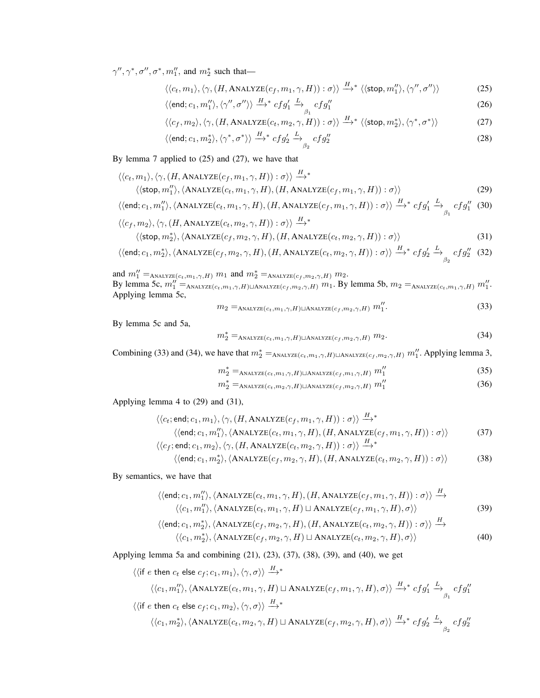$\gamma'', \gamma^*, \sigma'', \sigma^*, m_1'',$  and  $m_2^*$  such that—

$$
\langle \langle c_t, m_1 \rangle, \langle \gamma, (H, \text{ANALYZE}(c_f, m_1, \gamma, H)) : \sigma \rangle \rangle \stackrel{H}{\longrightarrow}^* \langle \langle \text{stop}, m_1'' \rangle, \langle \gamma'', \sigma'' \rangle \rangle \tag{25}
$$

$$
\langle \langle \text{end}; c_1, m_1'' \rangle, \langle \gamma'', \sigma'' \rangle \rangle \xrightarrow{H}^* c f g_1' \xrightarrow{L} c f g_1''
$$
\n
$$
(26)
$$

$$
\langle \langle c_f, m_2 \rangle, \langle \gamma, (H, \text{ANALIZE}(c_t, m_2, \gamma, H)) : \sigma \rangle \rangle \stackrel{H}{\longrightarrow}^* \langle \langle \text{stop}, m_2^* \rangle, \langle \gamma^*, \sigma^* \rangle \rangle \tag{27}
$$

$$
\langle \langle \text{end}; c_1, m_2^* \rangle, \langle \gamma^*, \sigma^* \rangle \rangle \stackrel{H}{\longrightarrow}^* c f g_2' \stackrel{L}{\longrightarrow}_{\beta_2} c f g_2'' \tag{28}
$$

By lemma 7 applied to (25) and (27), we have that

$$
\langle\langle c_t, m_1 \rangle, \langle \gamma, (H, \text{ANALYZE}(c_f, m_1, \gamma, H)) : \sigma \rangle\rangle \xrightarrow{H_*} \langle\langle \text{stop}, m_1'' \rangle, \langle \text{ANALYZE}(c_t, m_1, \gamma, H), (H, \text{ANALYZE}(c_f, m_1, \gamma, H)) : \sigma \rangle\rangle
$$
\n(29)

$$
\langle \langle \text{end}; c_1, m_1'' \rangle, \langle \text{ANALYZE}(c_t, m_1, \gamma, H), (H, \text{ANALYZE}(c_f, m_1, \gamma, H)) : \sigma \rangle \rangle \xrightarrow{H \ast} cfg'_1 \xrightarrow{L} cfg''_1 \quad (30)
$$
  

$$
\langle \langle c, m_2 \rangle \langle \alpha, (H \text{ANAYZE}(c, m_2, \alpha, H)) : \sigma \rangle \rangle \xrightarrow{H \ast} cfg''_1 \xrightarrow{\gamma} cfg''_1 \quad (31)
$$

$$
\langle\langle c_f, m_2 \rangle, \langle \gamma, (H, \text{ANALYZE}(c_t, m_2, \gamma, H)) : \sigma \rangle \rangle \stackrel{H}{\longrightarrow}^*
$$
  

$$
\langle\langle \text{stop}, m_2^* \rangle, \langle \text{ANALYZE}(c_f, m_2, \gamma, H), (H, \text{ANALYZE}(c_t, m_2, \gamma, H)) : \sigma \rangle \rangle
$$
 (31)

$$
\langle \langle \textsf{end}; c_1, m_2^* \rangle, \langle \textsf{ANALYZE}(c_f, m_2, \gamma, H), (H, \textsf{ANALYZE}(c_t, m_2, \gamma, H)) : \sigma \rangle \rangle \xrightarrow{H^*} cfg_2' \xrightarrow{\tilde{L}} cfg_2'' \quad (32)
$$

and  $m_1'' =_{\text{ANALYZE}(c_t, m_1, \gamma, H)} m_1$  and  $m_2^* =_{\text{ANALYZE}(c_f, m_2, \gamma, H)} m_2$ . By lemma 5c,  $m_1'' =_{\text{ANALYZE}(c_t, m_1, \gamma, H) \sqcup \text{ANALYZE}(c_f, m_2, \gamma, H)} m_1$ . By lemma 5b,  $m_2 =_{\text{ANALYZE}(c_t, m_1, \gamma, H)} m_1''$ . Applying lemma 5c,

$$
m_2 =_{\text{ANALYZE}(c_t, m_1, \gamma, H) \sqcup \text{ANALYZE}(c_f, m_2, \gamma, H)} m_1''.
$$
\n(33)

By lemma 5c and 5a,

$$
m_2^* =_{\text{ANALYZE}(c_t, m_1, \gamma, H) \sqcup \text{ANALYZE}(c_f, m_2, \gamma, H)} m_2.
$$
\n(34)

Combining (33) and (34), we have that  $m_2^* =_{ANALYZE(c_t, m_1, \gamma, H) \sqcup ANALYZE(c_f, m_2, \gamma, H)} m_1''$ . Applying lemma 3,

$$
m_2^* =_{\text{ANALYZE}(c_t, m_1, \gamma, H) \sqcup \text{ANALYZE}(c_f, m_1, \gamma, H)} m_1'' \tag{35}
$$

$$
m_2^* = \text{ANALIZE}(c_t, m_2, \gamma, H) \sqcup \text{ANALIZE}(c_f, m_2, \gamma, H) \ m_1'' \tag{36}
$$

 $\overline{1}$ 

Applying lemma 4 to (29) and (31),

$$
\langle \langle c_t; \text{end}; c_1, m_1 \rangle, \langle \gamma, (H, \text{ANALYZE}(c_f, m_1, \gamma, H)) : \sigma \rangle \rangle \xrightarrow{H}^*
$$
  

$$
\langle \langle \text{end}; c_1, m_1'' \rangle, \langle \text{ANALYZE}(c_t, m_1, \gamma, H), (H, \text{ANALYZE}(c_f, m_1, \gamma, H)) : \sigma \rangle \rangle
$$
  

$$
\langle \langle c_f; \text{end}; c_1, m_2 \rangle, \langle \gamma, (H, \text{ANALYZE}(c_t, m_2, \gamma, H)) : \sigma \rangle \rangle \xrightarrow{H,*}
$$
  

$$
\langle \langle \text{end}; c_1, m_2 \rangle, \langle \gamma, (H, \text{ANALYZE}(c_t, m_2, \gamma, H)) : \sigma \rangle \rangle \xrightarrow{H,*}
$$

$$
\langle \langle \text{end}; c_1, m_2^* \rangle, \langle \text{ANALYZE}(c_f, m_2, \gamma, H), (H, \text{ANALYZE}(c_t, m_2, \gamma, H)) : \sigma \rangle \rangle \tag{38}
$$

By semantics, we have that

$$
\langle \langle \text{end}; c_1, m_1'' \rangle, \langle \text{ANALYZE}(c_t, m_1, \gamma, H), (H, \text{ANALYZE}(c_f, m_1, \gamma, H)) : \sigma \rangle \rangle \xrightarrow{H} \langle \langle c_1, m_1'' \rangle, \langle \text{ANALYZE}(c_t, m_1, \gamma, H) \sqcup \text{ANALYZE}(c_f, m_1, \gamma, H), \sigma \rangle \rangle
$$
\n(39)

$$
\langle \langle \text{end}; c_1, m_2^* \rangle, \langle \text{ANALYZE}(c_f, m_2, \gamma, H), (H, \text{ANALYZE}(c_t, m_2, \gamma, H)) : \sigma \rangle \rangle \xrightarrow{H} \langle \langle c_1, m_2^* \rangle, \langle \text{ANALYZE}(c_f, m_2, \gamma, H) \sqcup \text{ANALYZE}(c_t, m_2, \gamma, H), \sigma \rangle \rangle
$$
\n(40)

Applying lemma 5a and combining (21), (23), (37), (38), (39), and (40), we get

$$
\langle \langle \text{if } e \text{ then } c_t \text{ else } c_f; c_1, m_1 \rangle, \langle \gamma, \sigma \rangle \rangle \xrightarrow{H}^*
$$
  

$$
\langle \langle c_1, m_1'' \rangle, \langle \text{ANALYZE}(c_t, m_1, \gamma, H) \sqcup \text{ANALYZE}(c_f, m_1, \gamma, H), \sigma \rangle \rangle \xrightarrow{H}^* cfg'_1 \xrightarrow{L} cfg''_1
$$
  

$$
\langle \langle \text{if } e \text{ then } c_t \text{ else } c_f; c_1, m_2 \rangle, \langle \gamma, \sigma \rangle \rangle \xrightarrow{H}^*
$$
  

$$
\langle \langle c_1, m_2^* \rangle, \langle \text{ANALYZE}(c_t, m_2, \gamma, H) \sqcup \text{ANALYZE}(c_f, m_2, \gamma, H), \sigma \rangle \rangle \xrightarrow{H}^* cfg'_2 \xrightarrow{L} cfg''_2
$$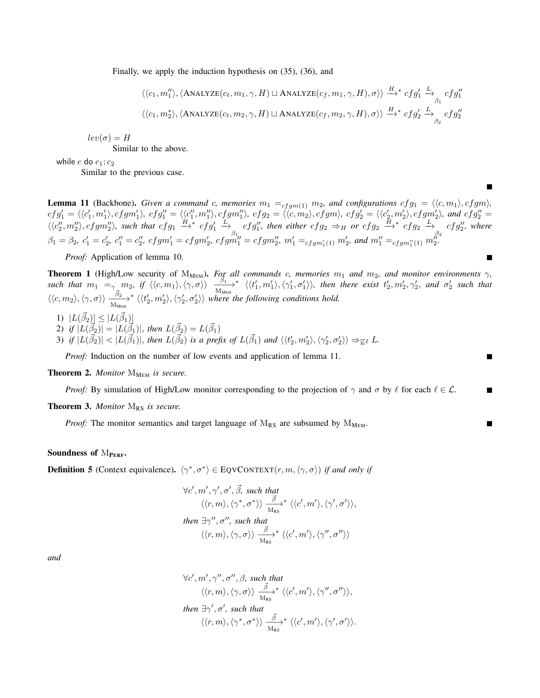Finally, we apply the induction hypothesis on (35), (36), and

$$
\langle\langle c_1, m_1'' \rangle, \langle \text{ANALYZE}(c_t, m_1, \gamma, H) \sqcup \text{ANALYZE}(c_f, m_1, \gamma, H), \sigma \rangle\rangle \stackrel{H}{\longrightarrow}^* cfg'_1 \stackrel{L}{\longrightarrow} _{\beta_1} cfg''_1
$$
  

$$
\langle\langle c_1, m_2^* \rangle, \langle \text{ANALYZE}(c_t, m_2, \gamma, H) \sqcup \text{ANALYZE}(c_f, m_2, \gamma, H), \sigma \rangle\rangle \stackrel{H}{\longrightarrow}^* cfg'_2 \stackrel{L}{\longrightarrow} _{\beta_2} cfg''_2
$$

 $\blacksquare$ 

П

 $lev(\sigma) = H$ 

Similar to the above.

while e do  $c_1$ ;  $c_2$ 

Similar to the previous case.

**Lemma 11** (Backbone). *Given a command c, memories*  $m_1 =_{cfgm(1)} m_2$ , and configurations  $cfg_1 = \langle \langle c, m_1 \rangle, cfgm \rangle$ ,  $cfg_1'=\langle\langle c_1',m_1'\rangle,cfgm_1'\rangle, \ cfg_1''=\langle\langle c_1'',m_1''\rangle,cfgm_1''\rangle, \ cfg_2=\langle\langle c,m_2\rangle,cfgm\rangle, \ cfg_2'=\langle\langle c_{2'}',m_{2}'\rangle,cfgm_2'\rangle,$  and  $cfg_2''=c_{2'}'$  $\langle\langle c_2'',m_2''\rangle, cfgm_2''\rangle$ , such that  $cfg_1 \stackrel{H}{\longrightarrow}^* cfg_1'$  $\stackrel{L}{\longrightarrow}$  cfg'', then either cfg<sub>2</sub>  $\Rightarrow$  H or cfg<sub>2</sub>  $\stackrel{H}{\longrightarrow}$ <sup>\*</sup> cfg<sub>2</sub>  $\stackrel{L}{\longrightarrow}$  cfg'', where  $\beta_1 = \beta_2, c'_1 = c'_2, c''_1 = c''_2, cfgm'_1 = cfgm'_2, cfgm''_1 = cfgm''_2, m'_1 = cfgm'_{11}) m'_2$ , and  $m''_1 =_{cfgm''_1(1)} m''_2$ .

*Proof:* Application of lemma 10.

**Theorem 1** (High/Low security of  $M_{MEM}$ ). *For all commands c, memories*  $m_1$  *and*  $m_2$ *, and monitor environments*  $\gamma$ *,* such that  $m_1 = \gamma m_2$ , if  $\langle\langle c, m_1 \rangle, \langle \gamma, \sigma \rangle\rangle$   $\frac{\beta_1}{M_{MEM}} \times \langle\langle t'_1, m'_1 \rangle, \langle \gamma'_1, \sigma'_1 \rangle$  $\langle \langle t'_1, m'_1 \rangle, \langle \gamma'_1, \sigma'_1 \rangle \rangle$ , then there exist  $t'_2, m'_2, \gamma'_2$ , and  $\sigma'_2$  such that  $\langle \langle c, m_2 \rangle, \langle \gamma, \sigma \rangle \rangle \xrightarrow[M_\text{MEM}]{} \overline{\beta_2}$ \*  $\langle \langle t_2', m_2' \rangle, \langle \gamma_2', \sigma_2' \rangle \rangle$  where the following conditions hold. 1)  $|L(\vec{\beta}_2)| \leq |L(\vec{\beta}_1)|$ 2) if  $|L(\vec{\beta}_2)| = |L(\vec{\beta}_1)|$ , then  $L(\vec{\beta}_2) = L(\vec{\beta}_1)$ 3) if  $|L(\vec{\beta}_2)| < |L(\vec{\beta}_1)|$ , then  $L(\vec{\beta}_2)$  is a prefix of  $L(\vec{\beta}_1)$  and  $\langle \langle t_2', m_2' \rangle, \langle \gamma_2', \sigma_2' \rangle \rangle \Rightarrow_{\sqsubseteq \ell} L$ .

*Proof:* Induction on the number of low events and application of lemma 11.

Theorem 2. *Monitor* M<sub>MEM</sub> is secure.

*Proof:* By simulation of High/Low monitor corresponding to the projection of  $\gamma$  and  $\sigma$  by  $\ell$  for each  $\ell \in \mathcal{L}$ .

Theorem 3. *Monitor* M<sub>RS</sub> is secure.

*Proof:* The monitor semantics and target language of  $M_{RS}$  are subsumed by  $M_{MEM}$ .

#### Soundness of  $M_{PERF}$ .

**Definition 5** (Context equivalence).  $\langle \gamma^*, \sigma^* \rangle \in \text{EQVCONTEXT}(r, m, \langle \gamma, \sigma \rangle)$  *if and only if* 

$$
\forall c', m', \gamma', \sigma', \vec{\beta}, \text{ such that}
$$
  

$$
\langle \langle r, m \rangle, \langle \gamma^*, \sigma^* \rangle \rangle \xrightarrow[\text{M}_{\text{RS}}]{\vec{\beta}}^* \langle \langle c', m' \rangle, \langle \gamma', \sigma' \rangle \rangle,
$$
  
then  $\exists \gamma'', \sigma'', \text{ such that}$   

$$
\langle \langle r, m \rangle, \langle \gamma, \sigma \rangle \rangle \xrightarrow[\text{M}_{\text{RS}}]{\vec{\beta}}^* \langle \langle c', m' \rangle, \langle \gamma'', \sigma'' \rangle \rangle
$$

*and*

$$
\forall c', m', \gamma'', \sigma'', \beta, \text{ such that}
$$
  

$$
\langle \langle r, m \rangle, \langle \gamma, \sigma \rangle \rangle \xrightarrow{\vec{\beta}}^* \langle \langle c', m' \rangle, \langle \gamma'', \sigma'' \rangle \rangle,
$$
  
then  $\exists \gamma', \sigma', \text{ such that}$   

$$
\langle \langle r, m \rangle, \langle \gamma^*, \sigma^* \rangle \rangle \xrightarrow{\vec{\beta}}^* \langle \langle c', m' \rangle, \langle \gamma', \sigma' \rangle \rangle.
$$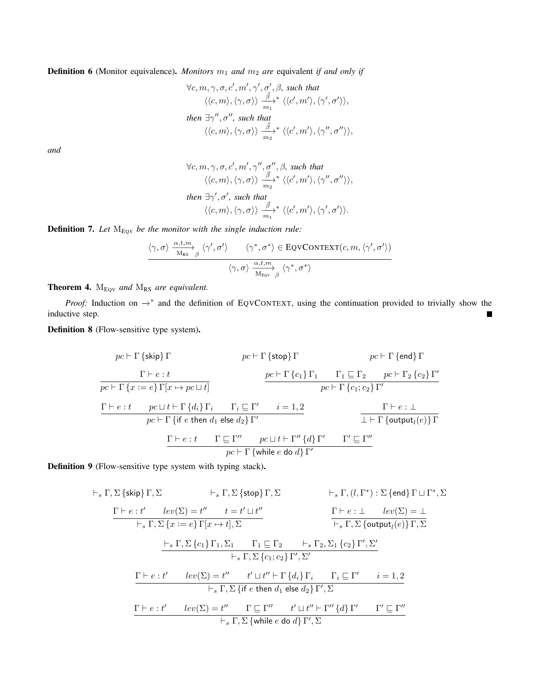**Definition 6** (Monitor equivalence). *Monitors*  $m_1$  *and*  $m_2$  *are* equivalent *if and only if* 

$$
\forall c, m, \gamma, \sigma, c', m', \gamma', \sigma', \beta, \text{ such that}
$$

$$
\langle \langle c, m \rangle, \langle \gamma, \sigma \rangle \rangle \xrightarrow[m_1]{\vec{\beta}}^{\vec{\beta}} \langle \langle c', m' \rangle, \langle \gamma', \sigma' \rangle \rangle,
$$
  
then  $\exists \gamma'', \sigma'', \text{ such that}$ 
$$
\langle \langle c, m \rangle, \langle \gamma, \sigma \rangle \rangle \xrightarrow[m_2]{\vec{\beta}}^{\vec{\beta}} \langle \langle c', m' \rangle, \langle \gamma'', \sigma'' \rangle \rangle,
$$

*and*

$$
\forall c, m, \gamma, \sigma, c', m', \gamma'', \sigma'', \beta, \text{ such that}
$$

$$
\langle\langle c, m \rangle, \langle \gamma, \sigma \rangle\rangle \xrightarrow[m_2]{\vec{\beta}}^{\vec{\beta}} \langle\langle c', m' \rangle, \langle \gamma'', \sigma'' \rangle\rangle,
$$
  
then  $\exists \gamma', \sigma', \text{ such that}$ 
$$
\langle\langle c, m \rangle, \langle \gamma, \sigma \rangle\rangle \xrightarrow[m_1]{\vec{\beta}}^{\vec{\beta}} \langle\langle c', m' \rangle, \langle \gamma', \sigma' \rangle\rangle.
$$

**Definition 7.** Let  $M_{\text{EQV}}$  be the monitor with the single induction rule:

$$
\frac{\langle \gamma, \sigma \rangle \xrightarrow{\alpha, t, m}_{\text{Ms}} \beta} \langle \gamma', \sigma' \rangle \qquad \langle \gamma^*, \sigma^* \rangle \in \text{EQVCONTEXT}(c, m, \langle \gamma', \sigma' \rangle))}{\langle \gamma, \sigma \rangle \xrightarrow{\alpha, t, m}_{\text{Megv}} \langle \gamma^*, \sigma^* \rangle}
$$

Theorem 4.  $M_{EQV}$  *and*  $M_{RS}$  *are equivalent.* 

*Proof:* Induction on  $\rightarrow^*$  and the definition of EQVCONTEXT, using the continuation provided to trivially show the inductive step.  $\blacksquare$ 

Definition 8 (Flow-sensitive type system).

$$
pc \vdash \Gamma \{\text{skip}\} \Gamma
$$
\n
$$
pc \vdash \Gamma \{\text{stop}\} \Gamma
$$
\n
$$
pc \vdash \Gamma \{e : t \}
$$
\n
$$
pc \vdash \Gamma \{c_1\} \Gamma_1
$$
\n
$$
pc \vdash \Gamma \{x := e\} \Gamma[x \mapsto pc \sqcup t]
$$
\n
$$
pc \vdash \Gamma \{c_1 : c_2\} \Gamma'
$$
\n
$$
pc \vdash \Gamma \{c_1 : c_2\} \Gamma'
$$
\n
$$
pc \vdash \Gamma \{x := e\} \Gamma[x \mapsto pc \sqcup t]
$$
\n
$$
\Gamma \vdash e : t
$$
\n
$$
pc \vdash \Gamma \{if e \text{ then } d_1 \text{ else } d_2\} \Gamma'
$$
\n
$$
\Gamma \vdash e : t
$$
\n
$$
\Gamma \vdash e : t
$$
\n
$$
\Gamma \vdash e : t
$$
\n
$$
\Gamma \vdash e : t
$$
\n
$$
\Gamma \vdash e : t
$$
\n
$$
\Gamma \vdash e : t
$$
\n
$$
\Gamma \vdash e : t
$$
\n
$$
\Gamma \vdash e \vdash \Gamma'
$$
\n
$$
pc \vdash \Gamma \{while e \text{ do } d \} \Gamma'
$$
\n
$$
\Gamma'
$$
\n
$$
\Gamma'
$$
\n
$$
\Gamma'
$$
\n
$$
\Gamma'
$$
\n
$$
\Gamma'
$$
\n
$$
\Gamma'
$$
\n
$$
\Gamma'
$$
\n
$$
\Gamma'
$$
\n
$$
\Gamma'
$$
\n
$$
\Gamma'
$$
\n
$$
\Gamma'
$$
\n
$$
\Gamma'
$$
\n
$$
\Gamma'
$$
\n
$$
\Gamma'
$$
\n
$$
\Gamma'
$$
\n
$$
\Gamma'
$$
\n
$$
\Gamma'
$$
\n
$$
\Gamma'
$$
\n
$$
\Gamma'
$$
\n
$$
\Gamma'
$$
\n
$$
\Gamma'
$$
\n
$$
\Gamma'
$$
\n
$$
\Gamma'
$$
\n
$$
\Gamma'
$$
\n
$$
\Gamma'
$$
\n
$$
\Gamma'
$$
\n
$$
\Gamma'
$$
\n
$$
\Gamma'
$$
\n
$$
\
$$

Definition 9 (Flow-sensitive type system with typing stack).

$$
\vdash_{s} \Gamma, \Sigma \{\text{skip} \} \Gamma, \Sigma \qquad \vdash_{s} \Gamma, \Sigma \{\text{stop} \} \Gamma, \Sigma \qquad \vdash_{s} \Gamma, (l, \Gamma^{*}) : \Sigma \{\text{end} \} \Gamma \sqcup \Gamma^{*}, \Sigma
$$
\n
$$
\begin{array}{ll}\n\Gamma \vdash e : t' & \text{lev}(\Sigma) = t'' & t = t' \sqcup t'' \\
\hline\n\vdash_{s} \Gamma, \Sigma \{x := e\} \Gamma[x \mapsto t], \Sigma \qquad & \Gamma \vdash e : \bot \quad \text{lev}(\Sigma) = \bot \\
& \vdash_{s} \Gamma, \Sigma \{x := e\} \Gamma[x \mapsto t], \Sigma \qquad & \vdash_{s} \Gamma, \Sigma \{\text{output}_{l}(e)\} \Gamma, \Sigma \qquad \\
& \vdash_{s} \Gamma, \Sigma \{c_{1}\} \Gamma_{1}, \Sigma_{1} & \Gamma_{1} \sqsubseteq \Gamma_{2} \qquad \vdash_{s} \Gamma_{2}, \Sigma_{1} \{c_{2}\} \Gamma', \Sigma' \\
& \vdash_{s} \Gamma, \Sigma \{c_{1}; c_{2}\} \Gamma', \Sigma' \qquad \\
& \vdash_{s} \Gamma, \Sigma \{\text{if } e \text{ then } d_{1} \text{ else } d_{2}\} \Gamma', \Sigma\n\end{array}
$$
\n
$$
\begin{array}{ll}\n\Gamma \vdash e : t' & \text{lev}(\Sigma) = t'' & t' \sqcup t'' \vdash \Gamma \{d_{i}\} \Gamma_{i} & \Gamma_{i} \sqsubseteq \Gamma' & i = 1, 2 \\
& \vdash_{s} \Gamma, \Sigma \{\text{if } e \text{ then } d_{1} \text{ else } d_{2}\} \Gamma', \Sigma\n\end{array}
$$
\n
$$
\begin{array}{ll}\n\Gamma \vdash e : t' & \text{lev}(\Sigma) = t'' & \Gamma \sqsubseteq \Gamma'' & t' \sqcup t'' \vdash \Gamma'' \{d\} \Gamma' & \Gamma' \sqsubseteq \Gamma'' \\
& \vdash_{s} \Gamma, \Sigma \{\text{while } e \text{ do } d\} \Gamma', \Sigma\n\end{array}
$$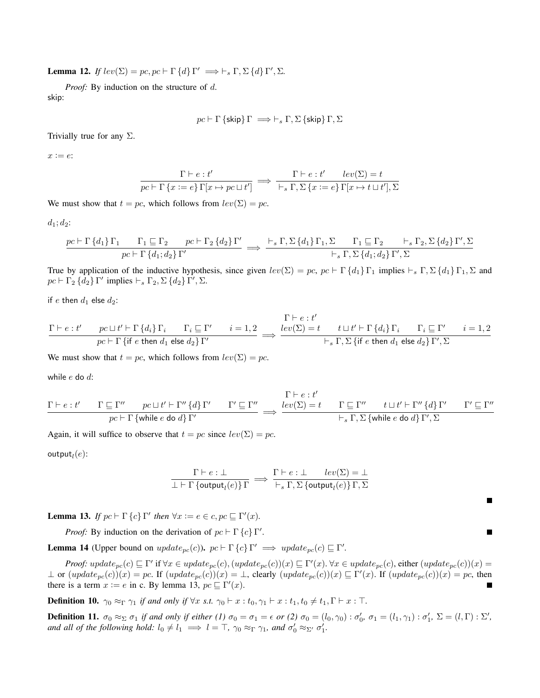**Lemma 12.** *If*  $lev(\Sigma) = pc, pc \vdash \Gamma \{d\} \Gamma' \implies \vdash_s \Gamma, \Sigma \{d\} \Gamma', \Sigma.$ 

*Proof:* By induction on the structure of d. skip:

$$
pc \vdash \Gamma \text{ \{skip} \} \Gamma \implies \vdash_s \Gamma, \Sigma \text{ \{skip} \} \Gamma, \Sigma
$$

Trivially true for any  $\Sigma$ .

 $x := e$ :

$$
\frac{\Gamma\vdash e:t'}{pc\vdash \Gamma\left\{x:=e\right\}\Gamma[x\mapsto pc\sqcup t']}\implies\frac{\Gamma\vdash e:t'\quad lev(\Sigma)=t}{\vdash_s\Gamma,\Sigma\left\{x:=e\right\}\Gamma[x\mapsto t\sqcup t'],\Sigma}
$$

We must show that  $t = pc$ , which follows from  $lev(\Sigma) = pc$ .

$$
d_1; d_2;
$$

$$
\frac{pc \vdash \Gamma\{d_1\}\Gamma_1 \qquad \Gamma_1 \sqsubseteq \Gamma_2 \qquad pc \vdash \Gamma_2\{d_2\}\Gamma'}{pc \vdash \Gamma\{d_1; d_2\}\Gamma'} \implies \frac{\vdash_s \Gamma, \Sigma\{d_1\}\Gamma_1, \Sigma \qquad \Gamma_1 \sqsubseteq \Gamma_2 \qquad \vdash_s \Gamma_2, \Sigma\{d_2\}\Gamma', \Sigma}{\vdash_s \Gamma, \Sigma\{d_1; d_2\}\Gamma', \Sigma}
$$

True by application of the inductive hypothesis, since given  $lev(\Sigma) = pc$ ,  $pc \vdash \Gamma \{d_1\} \Gamma_1$  implies  $\vdash_s \Gamma, \Sigma \{d_1\} \Gamma_1, \Sigma$  and  $pc \vdash \Gamma_2 \{d_2\} \Gamma'$  implies  $\vdash_s \Gamma_2, \Sigma \{d_2\} \Gamma', \Sigma.$ 

if e then  $d_1$  else  $d_2$ :

Γ ` e : t <sup>0</sup> pc t t <sup>0</sup> ` Γ {di} Γ<sup>i</sup> Γ<sup>i</sup> v Γ 0 i = 1, 2 pc ` Γ {if e then d<sup>1</sup> else d2} Γ <sup>0</sup> =⇒ 0 lev(Σ) = t t t t <sup>0</sup> ` Γ {di} Γ<sup>i</sup> Γ<sup>i</sup> v Γ 0 i = 1, 2 `<sup>s</sup> Γ, Σ {if e then d<sup>1</sup> else d2} Γ 0 , Σ

 $T^*$  +

 $T^*$   $\vdots$ 

 $\overline{\mathbf{u}}$ 

We must show that  $t = pc$ , which follows from  $lev(\Sigma) = pc$ .

while  $e$  do  $d$ :

$$
\frac{\Gamma \vdash e:t' \qquad \Gamma \sqsubseteq \Gamma'' \qquad pc \sqcup t' \vdash \Gamma'' \{d\} \Gamma' \qquad \Gamma' \sqsubseteq \Gamma''}{pc \vdash \Gamma \{while \ e \ do \ d\} \Gamma'} \implies \frac{\operatorname{lev}(\Sigma) = t \qquad \Gamma \sqsubseteq \Gamma'' \qquad t \sqcup t' \vdash \Gamma'' \{d\} \Gamma' \qquad \Gamma' \sqsubseteq \Gamma''}{\vdash_s \Gamma, \Sigma \{while \ e \ do \ d\} \Gamma', \Sigma}
$$

Again, it will suffice to observe that  $t = pc$  since  $lev(\Sigma) = pc$ .

 $\mathsf{output}_l(e)$ :

$$
\frac{\Gamma\vdash e:\bot}{\bot\vdash \Gamma \text{ \{output}_l(e)\}\Gamma}\implies \frac{\Gamma\vdash e:\bot\qquad lev(\Sigma)=\bot}{\vdash_s \Gamma,\Sigma \text{ \{output}_l(e)\}\Gamma,\Sigma}
$$

**Lemma 13.** *If*  $pc \vdash \Gamma \{c\} \Gamma'$  *then*  $\forall x := e \in c, pc \sqsubseteq \Gamma'(x)$ *.* 

*Proof:* By induction on the derivation of  $pc \vdash \Gamma \{c\} \Gamma'$ .

**Lemma 14** (Upper bound on  $update_{pc}(c)$ ).  $pc \vdash \Gamma \{c\} \Gamma' \implies update_{pc}(c) \sqsubseteq \Gamma'.$ 

*Proof:*  $update_{pc}(c) \sqsubseteq \Gamma'$  if  $\forall x \in update_{pc}(c), (update_{pc}(c))(x) \sqsubseteq \Gamma'(x)$ .  $\forall x \in update_{pc}(c),$  either  $update_{pc}(c))(x) =$  $\perp$  or  $(update_{pc}(c))(x) = pc$ . If  $(update_{pc}(c))(x) = \perp$ , clearly  $(update_{pc}(c))(x) \sqsubseteq \Gamma'(x)$ . If  $(update_{pc}(c))(x) = pc$ , then there is a term  $x := e$  in c. By lemma 13,  $pc \sqsubseteq \Gamma'(x)$ . П

**Definition 10.**  $\gamma_0 \approx_{\Gamma} \gamma_1$  *if and only if*  $\forall x$  *s.t.*  $\gamma_0 \vdash x : t_0, \gamma_1 \vdash x : t_1, t_0 \neq t_1, \Gamma \vdash x : \top$ .

**Definition 11.**  $\sigma_0 \approx_{\Sigma} \sigma_1$  if and only if either (1)  $\sigma_0 = \sigma_1 = \epsilon$  or (2)  $\sigma_0 = (l_0, \gamma_0)$  :  $\sigma'_0$ ,  $\sigma_1 = (l_1, \gamma_1)$  :  $\sigma'_1$ ,  $\Sigma = (l, \Gamma)$  :  $\Sigma'$ , *and all of the following hold:*  $l_0 \neq l_1 \implies l = \top$ ,  $\gamma_0 \approx_{\Gamma} \gamma_1$ , and  $\sigma'_0 \approx_{\Sigma'} \sigma'_1$ .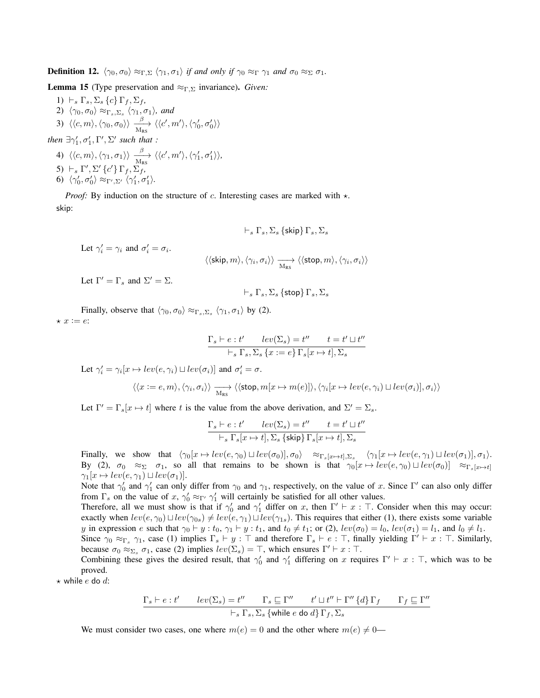**Definition 12.**  $\langle \gamma_0, \sigma_0 \rangle \approx_{\Gamma, \Sigma} \langle \gamma_1, \sigma_1 \rangle$  *if and only if*  $\gamma_0 \approx_{\Gamma} \gamma_1$  *and*  $\sigma_0 \approx_{\Sigma} \sigma_1$ *.* 

Lemma 15 (Type preservation and ≈Γ,<sup>Σ</sup> invariance). *Given:*

- 1)  $\vdash_s \Gamma_s, \Sigma_s \{c\} \Gamma_f, \Sigma_f,$ 2)  $\langle \gamma_0, \sigma_0 \rangle \approx_{\Gamma_s, \Sigma_s} \langle \gamma_1, \sigma_1 \rangle$ *, and* 3)  $\langle\langle c,m\rangle,\langle\gamma_0,\sigma_0\rangle\rangle\xrightarrow[N_{\rm RS}]{\beta} \langle\langle c',m'\rangle,\langle\gamma'_0,\sigma'_0\rangle\rangle$
- *then*  $\exists \gamma_1', \sigma_1', \Gamma', \Sigma'$  *such that* : 4)  $\langle\langle c,m\rangle,\langle \gamma_1,\sigma_1\rangle\rangle\xrightarrow[N_{\rm RS}]{\beta} \langle\langle c',m'\rangle,\langle \gamma_1',\sigma_1'\rangle\rangle,$ 5)  $\vdash_s \Gamma', \Sigma' \{c'\} \Gamma_f, \Sigma_f$ 6)  $\langle \gamma'_0, \sigma'_0 \rangle \approx_{\Gamma', \Sigma'} \langle \gamma'_1, \sigma'_1 \rangle.$

*Proof:* By induction on the structure of c. Interesting cases are marked with  $\star$ . skip:

$$
\vdash_s \Gamma_s, \Sigma_s \ \{\textsf{skip}\} \ \Gamma_s, \Sigma_s
$$

Let  $\gamma'_i = \gamma_i$  and  $\sigma'_i = \sigma_i$ .

 $\langle\langle \textsf{skip}, m\rangle, \langle \gamma_i, \sigma_i\rangle\rangle \xrightarrow[\text{M}_{\text{RS}}]{} \langle\langle \textsf{stop}, m\rangle, \langle \gamma_i, \sigma_i\rangle\rangle$ 

Let  $\Gamma' = \Gamma_s$  and  $\Sigma' = \Sigma$ .

$$
\vdash_s \Gamma_s, \Sigma_s \{ \mathsf{stop} \} \, \Gamma_s, \Sigma_s
$$

Finally, observe that  $\langle \gamma_0, \sigma_0 \rangle \approx_{\Gamma_s, \Sigma_s} \langle \gamma_1, \sigma_1 \rangle$  by (2).  $\star x := e$ :

$$
\frac{\Gamma_s \vdash e:t'\quad \ lev(\Sigma_s)=t''\quad \ t=t'\sqcup t''}{\vdash_s \Gamma_s, \Sigma_s \left\{x:=e\right\} \Gamma_s[x\mapsto t], \Sigma_s}
$$

Let  $\gamma'_i = \gamma_i[x \mapsto lev(e, \gamma_i) \sqcup lev(\sigma_i)]$  and  $\sigma'_i = \sigma$ .

$$
\langle\langle x:=e,m\rangle, \langle \gamma_i,\sigma_i\rangle\rangle\xrightarrow[\text{M}_{\text{RS}}]{}\langle\langle\textsf{stop},m[x\mapsto m(e)]\rangle, \langle\gamma_i[x\mapsto lev(e,\gamma_i)\sqcup lev(\sigma_i)],\sigma_i\rangle\rangle
$$

Let  $\Gamma' = \Gamma_s[x \mapsto t]$  where t is the value from the above derivation, and  $\Sigma' = \Sigma_s$ .

$$
\frac{\Gamma_s \vdash e:t'\qquad lev(\Sigma_s)=t''\qquad t=t'\sqcup t''}{\vdash_s \Gamma_s[x\mapsto t],\Sigma_s \text{ \{skip}\} \Gamma_s[x\mapsto t],\Sigma_s}
$$

Finally, we show that  $\langle \gamma_0[x \mapsto lev(e, \gamma_0) \sqcup lev(\sigma_0)], \sigma_0\rangle \approx_{\Gamma_s[x \mapsto t], \Sigma_s} \langle \gamma_1[x \mapsto lev(e, \gamma_1) \sqcup lev(\sigma_1)], \sigma_1\rangle.$ By (2),  $\sigma_0 \approx_{\Sigma} \sigma_1$ , so all that remains to be shown is that  $\gamma_0[x \mapsto lev(e, \gamma_0) \sqcup lev(\sigma_0)] \approx_{\Gamma_s[x \mapsto t]}$  $\gamma_1[x \mapsto lev(e, \gamma_1) \sqcup lev(\sigma_1)].$ 

Note that  $\gamma'_0$  and  $\gamma'_1$  can only differ from  $\gamma_0$  and  $\gamma_1$ , respectively, on the value of x. Since  $\Gamma'$  can also only differ from  $\Gamma_s$  on the value of x,  $\gamma'_0 \approx_{\Gamma'} \gamma'_1$  will certainly be satisfied for all other values.

Therefore, all we must show is that if  $\gamma'_0$  and  $\gamma'_1$  differ on x, then  $\Gamma' \vdash x : \top$ . Consider when this may occur: exactly when  $lev(e, \gamma_0) \sqcup lev(\gamma_{0s}) \neq lev(e, \gamma_1) \sqcup lev(\gamma_{1s})$ . This requires that either (1), there exists some variable y in expression e such that  $\gamma_0 \vdash y : t_0, \gamma_1 \vdash y : t_1$ , and  $t_0 \neq t_1$ ; or (2),  $lev(\sigma_0) = l_0$ ,  $lev(\sigma_1) = l_1$ , and  $l_0 \neq l_1$ .

Since  $\gamma_0 \approx_{\Gamma_s} \gamma_1$ , case (1) implies  $\Gamma_s \vdash y : \top$  and therefore  $\Gamma_s \vdash e : \top$ , finally yielding  $\Gamma' \vdash x : \top$ . Similarly, because  $\sigma_0 \approx_{\Sigma_s} \sigma_1$ , case (2) implies  $lev(\Sigma_s) = \top$ , which ensures  $\Gamma' \vdash x : \top$ .

Combining these gives the desired result, that  $\gamma'_0$  and  $\gamma'_1$  differing on x requires  $\Gamma' \vdash x : \top$ , which was to be proved.

 $\star$  while e do d:

$$
\frac{\Gamma_s \vdash e : t' \qquad lev(\Sigma_s) = t'' \qquad \Gamma_s \sqsubseteq \Gamma'' \qquad t' \sqcup t'' \vdash \Gamma'' \{d\} \Gamma_f \qquad \Gamma_f \sqsubseteq \Gamma''}{\vdash_s \Gamma_s, \Sigma_s \{\text{while } e \text{ do } d\} \Gamma_f, \Sigma_s}
$$

We must consider two cases, one where  $m(e) = 0$  and the other where  $m(e) \neq 0$ —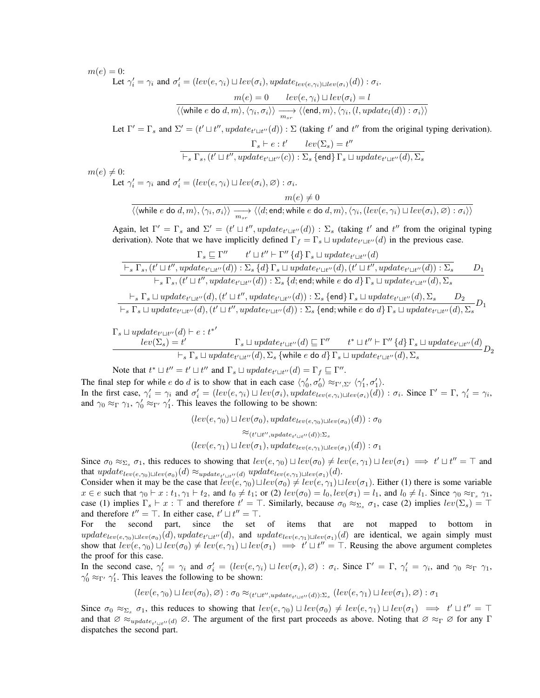$m(e) = 0$ :

Let  $\gamma'_i = \gamma_i$  and  $\sigma'_i = (lev(e, \gamma_i) \sqcup lev(\sigma_i), update_{lev(e, \gamma_i) \sqcup lev(\sigma_i)}(d)) : \sigma_i$ .

$$
\frac{m(e) = 0 \quad lev(e, \gamma_i) \sqcup lev(\sigma_i) = l}{\langle \langle \text{while } e \text{ do } d, m \rangle, \langle \gamma_i, \sigma_i \rangle \rangle \xrightarrow[m_{sr}]{m_{sr}} \langle \langle \text{end}, m \rangle, \langle \gamma_i, (l, update_l(d)) : \sigma_i \rangle \rangle}
$$

Let  $\Gamma' = \Gamma_s$  and  $\Sigma' = (t' \sqcup t'', update_{t' \sqcup t''}(d)) : \Sigma$  (taking t' and t'' from the original typing derivation).

$$
\Gamma_s \vdash e : t' \qquad lev(\Sigma_s) = t''
$$
  

$$
\vdash_s \Gamma_s, (t' \sqcup t'', update_{t' \sqcup t''}(c)) : \Sigma_s \text{ {end}} \Gamma_s \sqcup update_{t' \sqcup t''}(d), \Sigma_s
$$

 $m(e) \neq 0$ :

Let  $\gamma'_i = \gamma_i$  and  $\sigma'_i = (lev(e, \gamma_i) \sqcup lev(\sigma_i), \emptyset) : \sigma_i$ .

$$
\dfrac{m(e) \neq 0}{\langle \langle \text{while } e \text{ do } d,m \rangle, \langle \gamma_i, \sigma_i \rangle \rangle \xrightarrow[m_{sr}]} \langle \langle d; \text{end}; \text{while } e \text{ do } d,m \rangle, \langle \gamma_i, (lev(e, \gamma_i) \sqcup lev(\sigma_i), \varnothing) : \sigma_i \rangle \rangle}
$$

Again, let  $\Gamma' = \Gamma_s$  and  $\Sigma' = (t' \sqcup t'', update_{t' \sqcup t''}(d)) : \Sigma_s$  (taking t' and t'' from the original typing derivation). Note that we have implicitly defined  $\Gamma_f = \Gamma_s \sqcup update_{t' \sqcup t''}(d)$  in the previous case.

$$
\frac{\Gamma_s \sqsubseteq \Gamma'' \hspace{0.5cm} t' \sqcup t'' \vdash \Gamma'' \left\{ d \right\} \Gamma_s \sqcup update_{t' \sqcup t''} (d) }{\vdash_s \Gamma_s, (t' \sqcup t'', update_{t' \sqcup t''} (d)) : \Sigma_s \left\{ d \right\} \Gamma_s \sqcup update_{t' \sqcup t''} (d), (t' \sqcup t'', update_{t' \sqcup t''} (d)) : \Sigma_s \hspace{0.5cm} D_1 \qquad \qquad \vdots \\ \hspace{0.5cm} \frac{\vdash_s \Gamma_s, (t' \sqcup t'', update_{t' \sqcup t''} (d)) : \Sigma_s \left\{ d; \text{end}; \text{while } e \text{ do } d \right\} \Gamma_s \sqcup update_{t' \sqcup t''} (d), \Sigma_s \qquad \vdots \\ \hspace{0.5cm} \frac{\vdash_s \Gamma_s \sqcup update_{t' \sqcup t''} (d), (t' \sqcup t'', update_{t' \sqcup t''} (d)) : \Sigma_s \left\{ \text{end} \right\} \Gamma_s \sqcup update_{t' \sqcup t''} (d), \Sigma_s \hspace{0.5cm} D_2 \qquad \vdots \\ \hspace{0.5cm} \frac{\vdash_s \Gamma_s \sqcup update_{t' \sqcup t''} (d), (t' \sqcup t'', update_{t' \sqcup t''} (d)) : \Sigma_s \left\{ \text{end} \right\} \Gamma_s \sqcup update_{t' \sqcup t''} (d), \Sigma_s \hspace{0.5cm} D_1 \qquad \qquad \vdots \\ \hspace{0.5cm} D_2 \sqcup data_{t' \sqcup t''} (d), \Sigma_s \sqcap D_2 \qquad \qquad \vdots \\ \hspace{0.5cm} \frac{\vdash_s \sqcap s \sqcup update_{t' \sqcup t''} (d), \Sigma_s \sqcap B_2}{\vdots \sqcap s \sqcup update_{t' \sqcup t''} (d), \Sigma_s \left\{ \text{end} \right\} \Gamma_s \sqcup update_{t' \sqcup t''} (d), \Sigma_s \hspace{0.5cm} D_1 \qquad \qquad \vdots \\ \hspace{0.5cm} \frac{\vdash_s \sqcap s \sqcup update_{t' \sqcup t''} (d), \Sigma_s \sqcap B_1}{\vdots \sqcap s \sqcap s \sqcap s \sqcap s \sqcap s \sqcap s \sqcap s \sqcap s \sqcap s \sq
$$

$$
\cfrac{\Gamma_s \sqcup update_{t' \sqcup t''}(d) \vdash e : t^{*'} \qquad \qquad \Gamma_s \sqcup update_{t' \sqcup t''}(d) \sqsubseteq \Gamma'' \qquad t^* \sqcup t'' \vdash \Gamma'' \{d\} \Gamma_s \sqcup update_{t' \sqcup t''}(d) }{\vdash_s \Gamma_s \sqcup update_{t' \sqcup t''}(d), \Sigma_s \{\text{while } e \text{ do } d\} \Gamma_s \sqcup update_{t' \sqcup t''}(d), \Sigma_s} D_2
$$

Note that  $t^* \sqcup t'' = t' \sqcup t''$  and  $\Gamma_s \sqcup update_{t' \sqcup t''}(d) = \Gamma_f \sqsubseteq \Gamma''$ .

The final step for while e do d is to show that in each case  $\langle \gamma'_0, \sigma'_0 \rangle \approx_{\Gamma', \Sigma'} \langle \gamma'_1, \sigma'_1 \rangle$ . In the first case,  $\gamma'_i = \gamma_i$  and  $\sigma'_i = (lev(e, \gamma_i) \sqcup lev(\sigma_i), update_{lev(e, \gamma_i) \sqcup lev(\sigma_i)}(d)) : \sigma_i$ . Since  $\Gamma' = \Gamma$ ,  $\gamma'_i = \gamma_i$ , and  $\gamma_0 \approx_{\Gamma} \gamma_1$ ,  $\gamma'_0 \approx_{\Gamma'} \gamma'_1$ . This leaves the following to be shown:

> $(lev(e, \gamma_0) \sqcup lev(\sigma_0), update_{lev(e, \gamma_0) \sqcup lev(\sigma_0)}(d)) : \sigma_0$  $\approx_{(t' \sqcup t'', update_{t' \sqcup t''}(d)) : \Sigma_s}$  $(lev(e, \gamma_1) \sqcup lev(\sigma_1), update_{lev(e, \gamma_1) \sqcup lev(\sigma_1)}(d)) : \sigma_1$

Since  $\sigma_0 \approx_{\Sigma_s} \sigma_1$ , this reduces to showing that  $lev(e, \gamma_0) \sqcup lev(\sigma_0) \neq lev(e, \gamma_1) \sqcup lev(\sigma_1) \implies t' \sqcup t'' = \top$  and that  $update_{lev(e,\gamma_0) \sqcup lev(\sigma_0)}(d) \approx_{update_{t' \sqcup t''}(d)} update_{lev(e,\gamma_1) \sqcup lev(\sigma_1)}(d)$ .

Consider when it may be the case that  $lev(e, \gamma_0) \sqcup lev(\sigma_0) \neq lev(e, \gamma_1) \sqcup lev(\sigma_1)$ . Either (1) there is some variable  $x \in e$  such that  $\gamma_0 \vdash x : t_1, \gamma_1 \vdash t_2$ , and  $t_0 \neq t_1$ ; or (2)  $lev(\sigma_0) = l_0, lev(\sigma_1) = l_1$ , and  $l_0 \neq l_1$ . Since  $\gamma_0 \approx_{\Gamma_s} \gamma_1$ , case (1) implies  $\Gamma_s \vdash x : \top$  and therefore  $t' = \top$ . Similarly, because  $\sigma_0 \approx_{\Sigma_s} \sigma_1$ , case (2) implies  $lev(\Sigma_s) = \top$ and therefore  $t'' = \top$ . In either case,  $t' \sqcup t'' = \top$ .

For the second part, since the set of items that are not mapped to bottom in  $update_{lev(e,\gamma_0) \sqcup lev(\sigma_0)}(d)$ ,  $update_{t' \sqcup t''}(d)$ , and  $update_{lev(e,\gamma_1) \sqcup lev(\sigma_1)}(d)$  are identical, we again simply must show that  $lev(e, \gamma_0) \sqcup lev(\sigma_0) \neq lev(e, \gamma_1) \sqcup lev(\sigma_1) \implies t' \sqcup t'' = \top$ . Reusing the above argument completes the proof for this case.

In the second case,  $\gamma'_i = \gamma_i$  and  $\sigma'_i = (lev(e, \gamma_i) \sqcup lev(\sigma_i), \emptyset) : \sigma_i$ . Since  $\Gamma' = \Gamma$ ,  $\gamma'_i = \gamma_i$ , and  $\gamma_0 \approx_{\Gamma} \gamma_1$ ,  $\gamma'_0 \approx_{\Gamma'} \gamma'_1$ . This leaves the following to be shown:

 $(lev(e, \gamma_0) \sqcup lev(\sigma_0), \varnothing): \sigma_0 \approx_{(t' \sqcup t'', update_{t' \sqcup t''}(d)) : \Sigma_s} (lev(e, \gamma_1) \sqcup lev(\sigma_1), \varnothing): \sigma_1$ 

Since  $\sigma_0 \approx_{\Sigma_s} \sigma_1$ , this reduces to showing that  $lev(e, \gamma_0) \sqcup lev(\sigma_0) \neq lev(e, \gamma_1) \sqcup lev(\sigma_1) \implies t' \sqcup t'' = \top$ and that  $\varnothing \approx_{update_{t' \sqcup t''}(d)} \varnothing$ . The argument of the first part proceeds as above. Noting that  $\varnothing \approx_{\Gamma} \varnothing$  for any  $\Gamma$ dispatches the second part.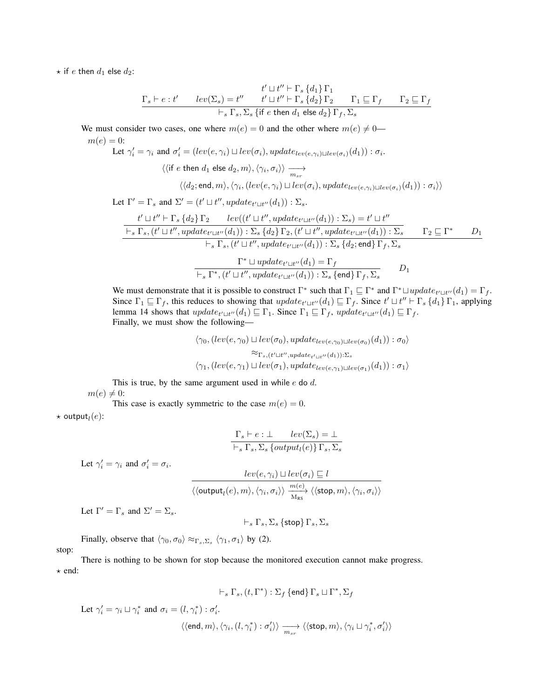$\star$  if *e* then  $d_1$  else  $d_2$ :

$$
\begin{array}{ccc} & t' \sqcup t'' \vdash \Gamma_s \left\{d_1\right\} \Gamma_1 \\ \Gamma_s \vdash e:t' & lev(\Sigma_s)=t'' & t' \sqcup t'' \vdash \Gamma_s \left\{d_2\right\} \Gamma_2 & \Gamma_1 \sqsubseteq \Gamma_f & \Gamma_2 \sqsubseteq \Gamma_f \\ & \vdash_s \Gamma_s, \Sigma_s \left\{\text{if } e \text{ then } d_1 \text{ else } d_2\right\} \Gamma_f, \Sigma_s \end{array}
$$

We must consider two cases, one where  $m(e) = 0$  and the other where  $m(e) \neq 0$ —

 $m(e) = 0$ :

Let 
$$
\gamma'_i = \gamma_i
$$
 and  $\sigma'_i = (lev(e, \gamma_i) \sqcup lev(\sigma_i), update_{lev(e, \gamma_i) \sqcup lev(\sigma_i)}(d_1)) : \sigma_i$ .  
\n $\langle \langle$ if  $e$  then  $d_1$  else  $d_2, m \rangle$ ,  $\langle \gamma_i, \sigma_i \rangle \rangle \xrightarrow[m_{sr}]{m_{sr}}$   
\n $\langle \langle d_2; end, m \rangle, \langle \gamma_i, (lev(e, \gamma_i) \sqcup lev(\sigma_i), update_{lev(e, \gamma_i) \sqcup lev(\sigma_i)}(d_1)) : \sigma_i \rangle \rangle$ 

Let  $\Gamma' = \Gamma_s$  and  $\Sigma' = (t' \sqcup t'', update_{t' \sqcup t''}(d_1)) : \Sigma_s$ .

$$
\frac{t' \sqcup t'' \vdash \Gamma_s \{d_2\} \Gamma_2 \qquad lev((t' \sqcup t'', update_{t' \sqcup t''}(d_1)) : \Sigma_s) = t' \sqcup t''}{\vdash_s \Gamma_s, (t' \sqcup t'', update_{t' \sqcup t''}(d_1)) : \Sigma_s \{d_2\} \Gamma_2, (t' \sqcup t'', update_{t' \sqcup t''}(d_1)) : \Sigma_s \qquad \Gamma_2 \sqsubseteq \Gamma^* \qquad D_1 \qquad \vdots \\ \vdash_s \Gamma_s, (t' \sqcup t'', update_{t' \sqcup t''}(d_1)) : \Sigma_s \{d_2; \mathsf{end}\} \Gamma_f, \Sigma_s} \qquad \frac{\Gamma^* \sqcup update_{t' \sqcup t''}(d_1) = \Gamma_f}{\vdash_s \Gamma^*, (t' \sqcup t'', update_{t' \sqcup t''}(d_1)) : \Sigma_s \{\mathsf{end}\} \Gamma_f, \Sigma_s} \qquad D_1
$$

We must demonstrate that it is possible to construct  $\Gamma^*$  such that  $\Gamma_1 \sqsubseteq \Gamma^*$  and  $\Gamma^* \sqcup update_{t' \sqcup t''}(d_1) = \Gamma_f$ . Since  $\Gamma_1 \sqsubseteq \Gamma_f$ , this reduces to showing that  $update_{t' \sqcup t''}(d_1) \sqsubseteq \Gamma_f$ . Since  $t' \sqcup t'' \vdash \Gamma_s \{d_1\} \Gamma_1$ , applying lemma 14 shows that  $update_{t' \sqcup t''}(d_1) \sqsubseteq \Gamma_1$ . Since  $\Gamma_1 \sqsubseteq \Gamma_f$ ,  $update_{t' \sqcup t''}(d_1) \sqsubseteq \Gamma_f$ . Finally, we must show the following—

$$
\langle \gamma_0, (lev(e, \gamma_0) \sqcup lev(\sigma_0), update_{lev(e, \gamma_0) \sqcup lev(\sigma_0)}(d_1)) : \sigma_0 \rangle
$$
  

$$
\approx_{\Gamma_s, (t' \sqcup t'', update_{t' \sqcup t''}(d_1)) : \Sigma_s}
$$
  

$$
\langle \gamma_1, (lev(e, \gamma_1) \sqcup lev(\sigma_1), update_{lev(e, \gamma_1) \sqcup lev(\sigma_1)}(d_1)) : \sigma_1 \rangle
$$

This is true, by the same argument used in while  $e$  do  $d$ .  $m(e) \neq 0$ :

This case is exactly symmetric to the case  $m(e) = 0$ .  $\star$  output $_l(e)$ :

$$
\frac{\Gamma_s \vdash e : \bot \quad lev(\Sigma_s) = \bot}{\vdash_s \Gamma_s, \Sigma_s \{output_l(e)\} \Gamma_s, \Sigma_s}
$$

$$
\frac{lev(e,\gamma_i) \sqcup lev(\sigma_i) \sqsubseteq l}{\langle\langle \textsf{output}_l(e),m\rangle,\langle \gamma_i,\sigma_i\rangle\rangle \ \frac{m(e)}{\mathrm{M_{RS}}}\ \langle\langle \textsf{stop},m\rangle,\langle \gamma_i,\sigma_i\rangle\rangle \ \frac{m(e)}{\mathrm{M_{RS}}}\ \frac{m(e)}{\mathrm{M_{RS}}}\ \frac{m(e)}{\mathrm{M_{RS}}}\ \frac{m(e)}{\mathrm{M_{RS}}}\ \frac{m(e)}{\mathrm{M_{RS}}}\ \frac{m(e)}{\mathrm{M_{RS}}}\ \frac{m(e)}{\mathrm{M_{RS}}}\ \frac{m(e)}{\mathrm{M_{RS}}}\ \frac{m(e)}{\mathrm{M_{RS}}}\ \frac{m(e)}{\mathrm{M_{RS}}}\ \frac{m(e)}{\mathrm{M_{RS}}}\ \frac{m(e)}{\mathrm{M_{RS}}}\ \frac{m(e)}{\mathrm{M_{RS}}}\ \frac{m(e)}{\mathrm{M_{RS}}}\ \frac{m(e)}{\mathrm{M_{RS}}}\ \frac{m(e)}{\mathrm{M_{RS}}}\ \frac{m(e)}{\mathrm{M_{RS}}}\ \frac{m(e)}{\mathrm{M_{RS}}}\ \frac{m(e)}{\mathrm{M_{RS}}}\ \frac{m(e)}{\mathrm{M_{RS}}}\ \frac{m(e)}{\mathrm{M_{RS}}}\ \frac{m(e)}{\mathrm{M_{RS}}}\ \frac{m(e)}{\mathrm{M_{RS}}}\ \frac{m(e)}{\mathrm{M_{RS}}}\ \frac{m(e)}{\mathrm{M_{RS}}}\ \frac{m(e)}{\mathrm{M_{RS}}}\ \frac{m(e)}{\mathrm{M_{RS}}}\ \frac{m(e)}{\mathrm{M_{RS}}}\ \frac{m(e)}{\mathrm{M_{RS}}}\ \frac{m(e)}{\mathrm{M_{RS}}}\ \frac{m(e)}{\mathrm{M_{RS}}}\ \frac{m(e)}{\mathrm{M_{RS}}}\ \frac{m(e)}{\mathrm{M_{RS}}}\ \frac{m(e)}{\mathrm{M_{RS}}}\ \frac{m(e)}{\mathrm{M_{RS}}}\ \frac{m(e)}{\mathrm{M_{RS}}}\ \frac{m(e)}{\mathrm{M_{RS}}}\ \frac{m(e)}{\mathrm{M_{RS}}}\ \frac{m(e)}{\mathrm{M_{RS}}}\ \frac{m(e)}{\mathrm{M_{RS}}}\ \frac{m(e)}{\mathrm{M_{RS}}}\ \frac{m(e)}{\mathrm{M_{RS}}}\ \frac{m(e)}{\mathrm{M_{RS}}}\ \frac{m(e)}{\mathrm{M_{RS}}}\ \frac{m(e)}{\mathrm{M_{RS}}}\ \frac{m(e)}{\mathrm{M_{RS}}}\ \frac{m(e)}{\mathrm{M_{RS}}}\ \frac{m(e)}{\mathrm{M_{
$$

Let  $\Gamma' = \Gamma_s$  and  $\Sigma' = \Sigma_s$ .

Let  $\gamma'_i = \gamma_i$  and  $\sigma'_i = \sigma_i$ .

$$
\vdash_s \Gamma_s, \Sigma_s \{\mathsf{stop}\} \, \Gamma_s, \Sigma_s
$$

 $\langle \sigma_i \rangle \rangle$ 

Finally, observe that  $\langle \gamma_0, \sigma_0 \rangle \approx_{\Gamma_s, \Sigma_s} \langle \gamma_1, \sigma_1 \rangle$  by (2). stop:

There is nothing to be shown for stop because the monitored execution cannot make progress.  $\star$  end:

$$
\vdash_s \Gamma_s, (t, \Gamma^*) : \Sigma_f \text{ {end}} \Gamma_s \sqcup \Gamma^*, \Sigma_f
$$

$$
\begin{aligned} \text{Let } \gamma'_i = \gamma_i \sqcup \gamma^*_i \text{ and } \sigma_i = (l, \gamma^*_i) : \sigma'_i. \\ \text{ } & \langle \langle \text{end}, m \rangle, \langle \gamma_i, (l, \gamma^*_i) : \sigma'_i \rangle \rangle \xrightarrow[m_{sr}]{} \langle \langle \text{stop}, m \rangle, \langle \gamma_i \sqcup \gamma^*_i, \sigma'_i \rangle \rangle \end{aligned}
$$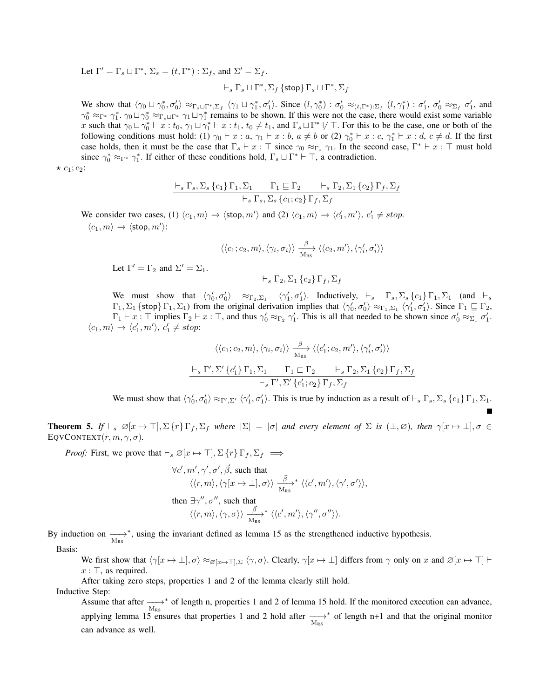Let  $\Gamma' = \Gamma_s \sqcup \Gamma^*, \ \Sigma_s = (t, \Gamma^*) : \Sigma_f$ , and  $\Sigma' = \Sigma_f$ .

$$
\vdash_s \Gamma_s \sqcup \Gamma^*, \Sigma_f \{\textsf{stop}\} \Gamma_s \sqcup \Gamma^*, \Sigma_f
$$

We show that  $\langle \gamma_0 \sqcup \gamma_0^*, \sigma_0' \rangle \approx_{\Gamma_s \sqcup \Gamma^*, \Sigma_f} \langle \gamma_1 \sqcup \gamma_1^*, \sigma_1' \rangle$ . Since  $(l, \gamma_0^*) : \sigma_0' \approx_{(t, \Gamma^*) : \Sigma_f} (l, \gamma_1^*) : \sigma_1', \sigma_0' \approx_{\Sigma_f} \sigma_1',$  and  $\gamma_0^* \approx_{\Gamma^*} \gamma_1^*$ .  $\gamma_0 \sqcup \gamma_0^* \approx_{\Gamma_s \sqcup \Gamma^*} \gamma_1 \sqcup \gamma_1^*$  remains to be shown. If this were not the case, there would exist some variable x such that  $\gamma_0 \sqcup \gamma_0^* \vdash x : t_0, \gamma_1 \sqcup \gamma_1^* \vdash x : t_1, t_0 \neq t_1$ , and  $\Gamma_s \sqcup \Gamma^* \not\vdash \top$ . For this to be the case, one or both of the following conditions must hold: (1)  $\gamma_0 \vdash x : a, \gamma_1 \vdash x : b, a \neq b$  or (2)  $\gamma_0^* \vdash x : c, \gamma_1^* \vdash x : d, c \neq d$ . If the first case holds, then it must be the case that  $\Gamma_s \vdash x : \top$  since  $\gamma_0 \approx_{\Gamma_s} \gamma_1$ . In the second case,  $\Gamma^* \vdash x : \top$  must hold since  $\gamma_0^* \approx_{\Gamma^*} \gamma_1^*$ . If either of these conditions hold,  $\Gamma_s \sqcup \Gamma^* \vdash \top$ , a contradiction.

 $\star$   $c_1$ ;  $c_2$ :

$$
\frac{\vdash_s \Gamma_s, \Sigma_s \{c_1\} \Gamma_1, \Sigma_1 \qquad \Gamma_1 \sqsubseteq \Gamma_2 \qquad \vdash_s \Gamma_2, \Sigma_1 \{c_2\} \Gamma_f, \Sigma_f}{\vdash_s \Gamma_s, \Sigma_s \{c_1; c_2\} \Gamma_f, \Sigma_f}
$$

We consider two cases, (1)  $\langle c_1, m \rangle \rightarrow \langle \text{stop}, m' \rangle$  and (2)  $\langle c_1, m \rangle \rightarrow \langle c'_1, m' \rangle$ ,  $c'_1 \neq stop$ .  $\langle c_1, m \rangle \rightarrow \langle \mathsf{stop}, m' \rangle:$ 

$$
\langle \langle c_1; c_2, m \rangle, \langle \gamma_i, \sigma_i \rangle \rangle \xrightarrow[M_{\text{RS}}]{} \langle \langle c_2, m' \rangle, \langle \gamma'_i, \sigma'_i \rangle \rangle
$$

Let 
$$
\Gamma' = \Gamma_2
$$
 and  $\Sigma' = \Sigma_1$ .

 $\vdash_s \Gamma_2, \Sigma_1 \{c_2\} \Gamma_f, \Sigma_f$ 

We must show that  $\langle \gamma'_0, \sigma'_0 \rangle \approx_{\Gamma_2, \Sigma_1} \langle \gamma'_1, \sigma'_1 \rangle$ . Inductively,  $\vdash_s \Gamma_s, \Sigma_s \{c_1\} \Gamma_1, \Sigma_1$  (and  $\vdash_s$  $\Gamma_1, \Sigma_1$  {stop}  $\Gamma_1, \Sigma_1$ ) from the original derivation implies that  $\langle \gamma'_0, \sigma'_0 \rangle \approx_{\Gamma_1, \Sigma_1} \langle \gamma'_1, \sigma'_1 \rangle$ . Since  $\Gamma_1 \sqsubseteq \Gamma_2$ ,  $\Gamma_1 \vdash x : \top$  implies  $\Gamma_2 \vdash x : \top$ , and thus  $\gamma'_0 \approx_{\Gamma_2} \gamma'_1$ . This is all that needed to be shown since  $\sigma'_0 \approx_{\Sigma_1} \sigma'_1$ .  $\langle c_1, m \rangle \rightarrow \langle c'_1, m' \rangle, c'_1 \neq stop:$ 

$$
\langle\langle c_1; c_2, m \rangle, \langle \gamma_i, \sigma_i \rangle\rangle \xrightarrow[M_{\text{RS}}]{} \langle\langle c'_1; c_2, m' \rangle, \langle \gamma'_i, \sigma'_i \rangle\rangle
$$
  

$$
\xrightarrow[\quad]{} \text{F}_s \Gamma', \Sigma' \{c'_1\} \Gamma_1, \Sigma_1 \qquad \Gamma_1 \sqsubset \Gamma_2 \qquad \qquad \vdots \qquad \qquad \Gamma_2, \Sigma_1 \{c_2\} \Gamma_f, \Sigma_f
$$
  

$$
\xrightarrow[\quad]{} \text{F}_s \Gamma', \Sigma' \{c'_1; c_2\} \Gamma_f, \Sigma_f
$$

We must show that  $\langle \gamma'_0, \sigma'_0 \rangle \approx_{\Gamma', \Sigma'} \langle \gamma'_1, \sigma'_1 \rangle$ . This is true by induction as a result of  $\vdash_s \Gamma_s, \Sigma_s \{c_1\} \Gamma_1, \Sigma_1$ .

**Theorem 5.** If  $\vdash_s \varnothing[x \mapsto \top], \Sigma \{r\} \Gamma_f, \Sigma_f$  where  $|\Sigma| = |\sigma|$  and every element of  $\Sigma$  is  $(\bot, \varnothing)$ *, then*  $\gamma[x \mapsto \bot], \sigma \in$ EQVCONTEXT $(r, m, \gamma, \sigma)$ .

*Proof:* First, we prove that  $\vdash_s \varnothing[x \mapsto \top], \Sigma \{r\} \Gamma_f, \Sigma_f \implies$ 

$$
\forall c', m', \gamma', \sigma', \vec{\beta}, \text{ such that}
$$
  

$$
\langle \langle r, m \rangle, \langle \gamma[x \mapsto \bot], \sigma \rangle \rangle \xrightarrow[N_{\text{RS}}]{\vec{\beta}}^* \langle \langle c', m' \rangle, \langle \gamma', \sigma' \rangle \rangle,
$$
  
then  $\exists \gamma'', \sigma'', \text{ such that}$   

$$
\langle \langle r, m \rangle, \langle \gamma, \sigma \rangle \rangle \xrightarrow[N_{\text{RS}}]{\vec{\beta}}^* \langle \langle c', m' \rangle, \langle \gamma'', \sigma'' \rangle \rangle.
$$

By induction on  $\longrightarrow$   $\longrightarrow$ ∗ , using the invariant defined as lemma 15 as the strengthened inductive hypothesis.

Basis:

We first show that  $\langle \gamma[x \mapsto \perp], \sigma \rangle \approx_{\varnothing[x \mapsto \top], \Sigma} \langle \gamma, \sigma \rangle$ . Clearly,  $\gamma[x \mapsto \bot]$  differs from  $\gamma$  only on x and  $\varnothing[x \mapsto \top]$  $x : \top$ , as required.

After taking zero steps, properties 1 and 2 of the lemma clearly still hold.

Inductive Step:

Assume that after  $\xrightarrow{\text{M}_{\text{RS}}}$ ∗ of length n, properties 1 and 2 of lemma 15 hold. If the monitored execution can advance, applying lemma 15 ensures that properties 1 and 2 hold after  $\longrightarrow$  M<sub>RS</sub> ∗ of length n+1 and that the original monitor can advance as well.